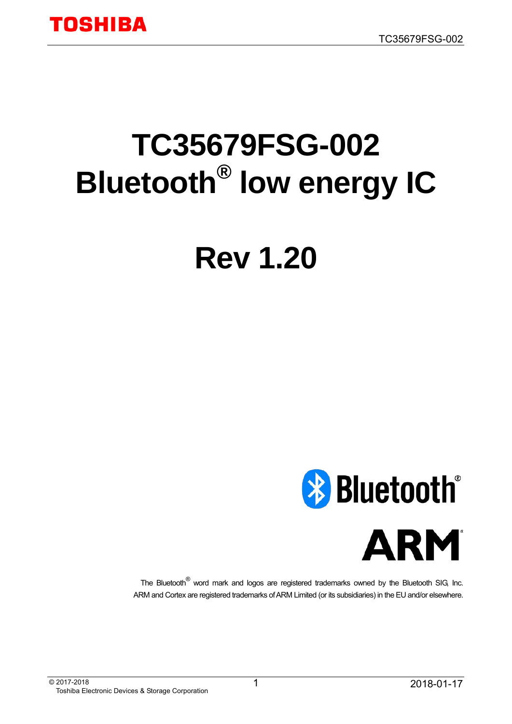# **TC35679FSG-002 Bluetooth® low energy IC**

# **Rev 1.20**





The Bluetooth® word mark and logos are registered trademarks owned by the Bluetooth SIG, Inc. ARM and Cortex are registered trademarks of ARM Limited (or its subsidiaries) in the EU and/or elsewhere.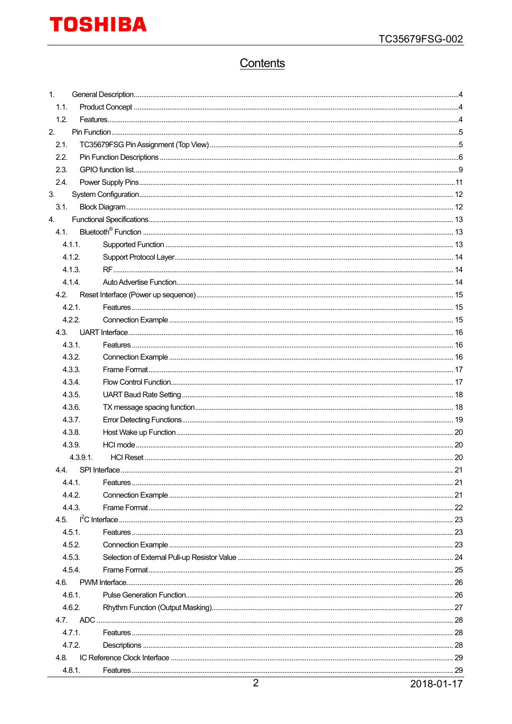# Contents

| 1.1.              |    |  |  |  |  |  |
|-------------------|----|--|--|--|--|--|
|                   |    |  |  |  |  |  |
| 1.2.              |    |  |  |  |  |  |
| 2.                |    |  |  |  |  |  |
| 2.1.              |    |  |  |  |  |  |
| 2.2.              |    |  |  |  |  |  |
| 2.3.              |    |  |  |  |  |  |
| 2.4.              |    |  |  |  |  |  |
| 3.<br>3.1.        |    |  |  |  |  |  |
| 4.                |    |  |  |  |  |  |
| 4.1               |    |  |  |  |  |  |
| 4.1.1.            |    |  |  |  |  |  |
| 4.1.2.            |    |  |  |  |  |  |
| 4.1.3.            |    |  |  |  |  |  |
| 4.1.4.            |    |  |  |  |  |  |
| 4.2.              |    |  |  |  |  |  |
| 4.2.1.            |    |  |  |  |  |  |
| 4.2.2.            |    |  |  |  |  |  |
| 4.3.              |    |  |  |  |  |  |
| 4.3.1.            |    |  |  |  |  |  |
| 4.3.2.            |    |  |  |  |  |  |
| 4.3.3.            |    |  |  |  |  |  |
| 4.3.4.            |    |  |  |  |  |  |
| 4.3.5.            |    |  |  |  |  |  |
| 4.3.6.            |    |  |  |  |  |  |
| 4.3.7.            |    |  |  |  |  |  |
| 4.3.8.            |    |  |  |  |  |  |
| 4.3.9.            |    |  |  |  |  |  |
| 4.3.9.1           |    |  |  |  |  |  |
| 4.4 SPI Interface | 21 |  |  |  |  |  |
| 4.4.1.            |    |  |  |  |  |  |
| 4.4.2.<br>4.4.3.  |    |  |  |  |  |  |
| 4.5.              |    |  |  |  |  |  |
| 4.5.1.            |    |  |  |  |  |  |
| 4.5.2.            |    |  |  |  |  |  |
| 4.5.3.            |    |  |  |  |  |  |
| 4.5.4.            |    |  |  |  |  |  |
| 4.6.              |    |  |  |  |  |  |
| 4.6.1.            |    |  |  |  |  |  |
| 4.6.2.            |    |  |  |  |  |  |
| 4.7.              |    |  |  |  |  |  |
| 4.7.1.            |    |  |  |  |  |  |
| 4.7.2.            |    |  |  |  |  |  |
| 4.8.              |    |  |  |  |  |  |
| 4.8.1.            |    |  |  |  |  |  |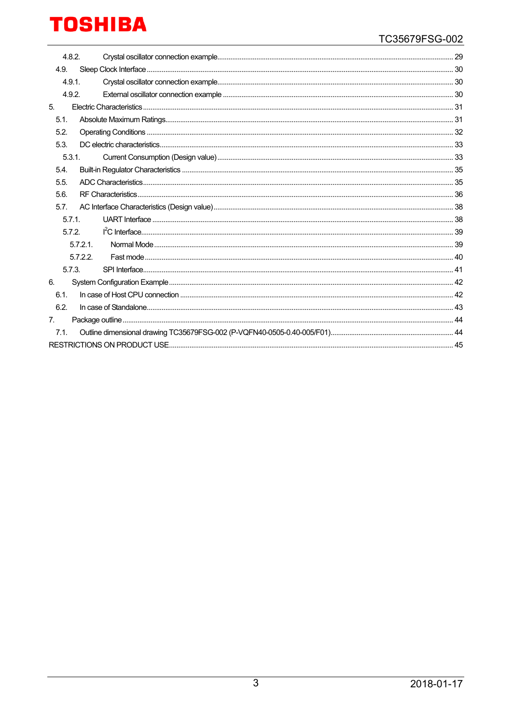| 4.8.2.         |          |  |
|----------------|----------|--|
| 4.9.           |          |  |
| 4.9.1.         |          |  |
| 4.9.2.         |          |  |
| 5.             |          |  |
| 5.1.           |          |  |
| 5.2.           |          |  |
| 5.3.           |          |  |
| 5.3.1.         |          |  |
| 5.4.           |          |  |
| 5.5.           |          |  |
| 5.6.           |          |  |
| 5.7.           |          |  |
| 5.7.1          |          |  |
| 5.7.2          |          |  |
|                | 5.7.2.1  |  |
|                | 5.7.2.2. |  |
| 5.7.3.         |          |  |
| 6.             |          |  |
| 6.1.           |          |  |
| 6.2.           |          |  |
| 7 <sub>1</sub> |          |  |
| 7.1.           |          |  |
|                |          |  |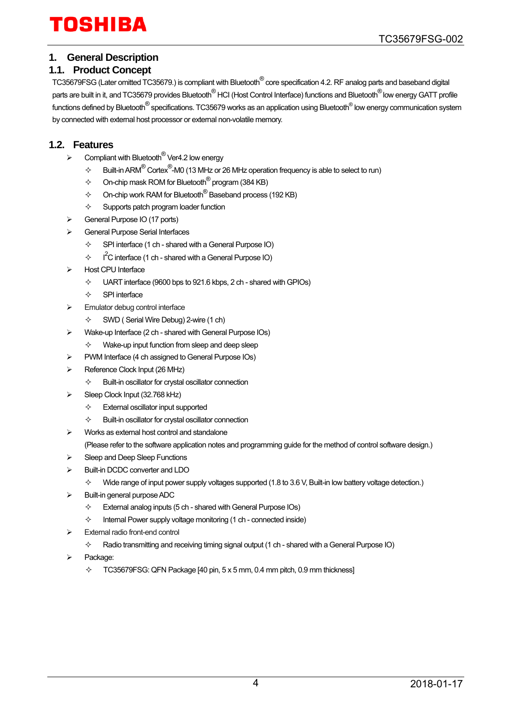# TOSHIRA

### <span id="page-3-0"></span>**1. General Description**

#### <span id="page-3-1"></span>**1.1. Product Concept**

TC35679FSG (Later omitted TC35679.) is compliant with Bluetooth® core specification 4.2. RF analog parts and baseband digital parts are built in it, and TC35679 provides Bluetooth<sup>®</sup> HCI (Host Control Interface) functions and Bluetooth<sup>®</sup> low energy GATT profile functions defined by Bluetooth<sup>®</sup> specifications. TC35679 works as an application using Bluetooth<sup>®</sup> low energy communication system by connected with external host processor or external non-volatile memory.

#### <span id="page-3-2"></span>**1.2. Features**

- $\triangleright$  Compliant with Bluetooth<sup>®</sup> Ver4.2 low energy
	- $\diamond$  Built-in ARM $^\circledR$  Cortex $^\circledR$ -M0 (13 MHz or 26 MHz operation frequency is able to select to run)
	- $\diamond$  On-chip mask ROM for Bluetooth  ${}^{\circledR}$  program (384 KB)
	- $\Diamond$  On-chip work RAM for Bluetooth<sup>®</sup> Baseband process (192 KB)
	- $\Diamond$  Supports patch program loader function
- General Purpose IO (17 ports)
- General Purpose Serial Interfaces
	- $\div$  SPI interface (1 ch shared with a General Purpose IO)
	- $\div$  I<sup>2</sup>C interface (1 ch shared with a General Purpose IO)
- Host CPU Interface
	- $\div$  UART interface (9600 bps to 921.6 kbps, 2 ch shared with GPIOs)
	- $\Leftrightarrow$  SPI interface
- Emulator debug control interface
	- $\diamond$  SWD (Serial Wire Debug) 2-wire (1 ch)
- Wake-up Interface (2 ch shared with General Purpose IOs)
	- $\Diamond$  Wake-up input function from sleep and deep sleep
	- PWM Interface (4 ch assigned to General Purpose IOs)
- Reference Clock Input (26 MHz)
	- $\Leftrightarrow$  Built-in oscillator for crystal oscillator connection
- Sleep Clock Input (32.768 kHz)
	- $\Leftrightarrow$  External oscillator input supported
	- $\Leftrightarrow$  Built-in oscillator for crystal oscillator connection
- $\triangleright$  Works as external host control and standalone (Please refer to the software application notes and programming guide for the method of control software design.)
- Sleep and Deep Sleep Functions
- Built-in DCDC converter and LDO
	- $\Diamond$  Wide range of input power supply voltages supported (1.8 to 3.6 V, Built-in low battery voltage detection.)
- Built-in general purpose ADC
	- $\div$  External analog inputs (5 ch shared with General Purpose IOs)
	- $\Diamond$  Internal Power supply voltage monitoring (1 ch connected inside)
- External radio front-end control
	- $\Diamond$  Radio transmitting and receiving timing signal output (1 ch shared with a General Purpose IO)
- Package:
	- $\div$  TC35679FSG: QFN Package [40 pin, 5 x 5 mm, 0.4 mm pitch, 0.9 mm thickness]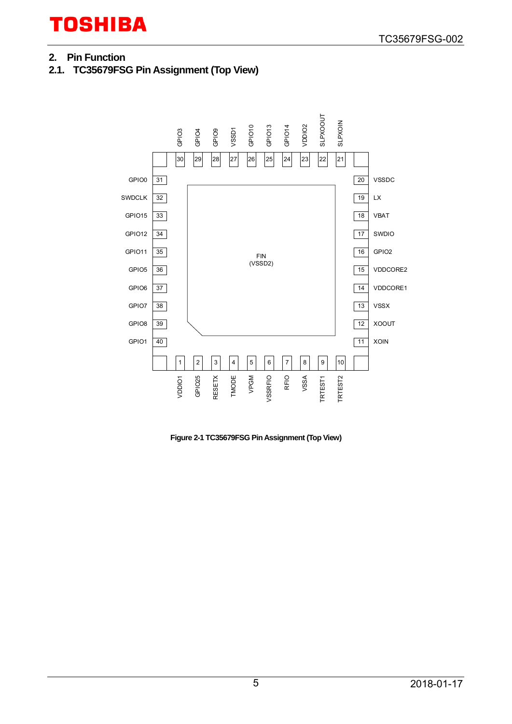# <span id="page-4-0"></span>**2. Pin Function**

<span id="page-4-1"></span>**2.1. TC35679FSG Pin Assignment (Top View)** 



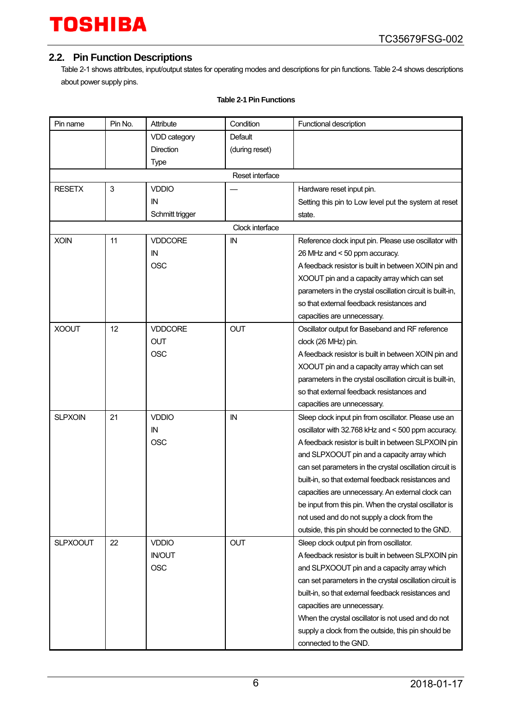### <span id="page-5-0"></span>**2.2. Pin Function Descriptions**

[Table 2-1 s](#page-5-1)hows attributes, input/output states for operating modes and descriptions for pin functions[. Table 2-4 s](#page-10-1)hows descriptions about power supply pins.

<span id="page-5-1"></span>

| Pin name        | Pin No. | Attribute        | Condition       | Functional description                                     |
|-----------------|---------|------------------|-----------------|------------------------------------------------------------|
|                 |         | VDD category     | Default         |                                                            |
|                 |         | <b>Direction</b> | (during reset)  |                                                            |
|                 |         | Type             |                 |                                                            |
|                 |         |                  | Reset interface |                                                            |
| <b>RESETX</b>   | 3       | <b>VDDIO</b>     |                 | Hardware reset input pin.                                  |
|                 |         | IN               |                 | Setting this pin to Low level put the system at reset      |
|                 |         | Schmitt trigger  |                 | state.                                                     |
|                 |         |                  | Clock interface |                                                            |
| <b>XOIN</b>     | 11      | <b>VDDCORE</b>   | IN              | Reference clock input pin. Please use oscillator with      |
|                 |         | IN               |                 | 26 MHz and < 50 ppm accuracy.                              |
|                 |         | <b>OSC</b>       |                 | A feedback resistor is built in between XOIN pin and       |
|                 |         |                  |                 | XOOUT pin and a capacity array which can set               |
|                 |         |                  |                 | parameters in the crystal oscillation circuit is built-in, |
|                 |         |                  |                 | so that external feedback resistances and                  |
|                 |         |                  |                 | capacities are unnecessary.                                |
| <b>XOOUT</b>    | 12      | <b>VDDCORE</b>   | <b>OUT</b>      | Oscillator output for Baseband and RF reference            |
|                 |         | <b>OUT</b>       |                 | clock (26 MHz) pin.                                        |
|                 |         | <b>OSC</b>       |                 | A feedback resistor is built in between XOIN pin and       |
|                 |         |                  |                 | XOOUT pin and a capacity array which can set               |
|                 |         |                  |                 | parameters in the crystal oscillation circuit is built-in, |
|                 |         |                  |                 | so that external feedback resistances and                  |
|                 |         |                  |                 | capacities are unnecessary.                                |
| <b>SLPXOIN</b>  | 21      | <b>VDDIO</b>     | IN              | Sleep clock input pin from oscillator. Please use an       |
|                 |         | IN               |                 | oscillator with 32.768 kHz and < 500 ppm accuracy.         |
|                 |         | <b>OSC</b>       |                 | A feedback resistor is built in between SLPXOIN pin        |
|                 |         |                  |                 | and SLPXOOUT pin and a capacity array which                |
|                 |         |                  |                 | can set parameters in the crystal oscillation circuit is   |
|                 |         |                  |                 | built-in, so that external feedback resistances and        |
|                 |         |                  |                 | capacities are unnecessary. An external clock can          |
|                 |         |                  |                 | be input from this pin. When the crystal oscillator is     |
|                 |         |                  |                 | not used and do not supply a clock from the                |
|                 |         |                  |                 | outside, this pin should be connected to the GND.          |
| <b>SLPXOOUT</b> | 22      | <b>VDDIO</b>     | <b>OUT</b>      | Sleep clock output pin from oscillator.                    |
|                 |         | <b>IN/OUT</b>    |                 | A feedback resistor is built in between SLPXOIN pin        |
|                 |         | <b>OSC</b>       |                 | and SLPXOOUT pin and a capacity array which                |
|                 |         |                  |                 | can set parameters in the crystal oscillation circuit is   |
|                 |         |                  |                 | built-in, so that external feedback resistances and        |
|                 |         |                  |                 | capacities are unnecessary.                                |
|                 |         |                  |                 | When the crystal oscillator is not used and do not         |
|                 |         |                  |                 | supply a clock from the outside, this pin should be        |
|                 |         |                  |                 | connected to the GND.                                      |

#### **Table 2-1 Pin Functions**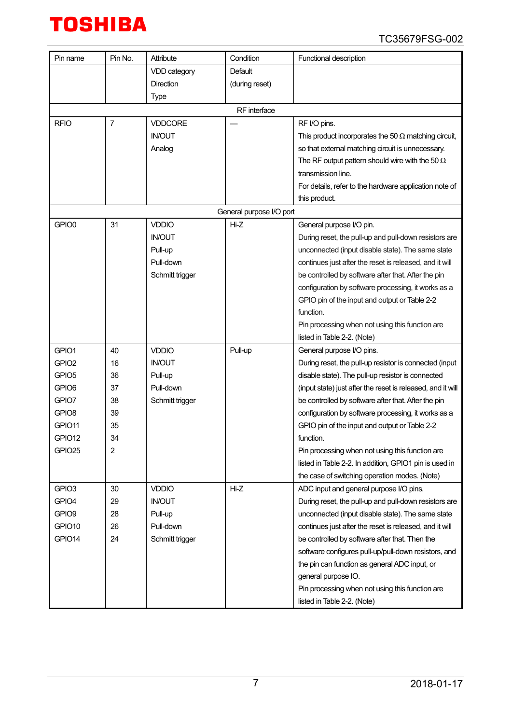| Pin name          | Pin No.        | Attribute       | Condition                | Functional description                                      |
|-------------------|----------------|-----------------|--------------------------|-------------------------------------------------------------|
|                   |                | VDD category    | Default                  |                                                             |
|                   |                | Direction       | (during reset)           |                                                             |
|                   |                | Type            |                          |                                                             |
|                   |                |                 | RF interface             |                                                             |
| <b>RFIO</b>       | $\overline{7}$ | <b>VDDCORE</b>  |                          | RF I/O pins.                                                |
|                   |                | <b>IN/OUT</b>   |                          | This product incorporates the 50 $\Omega$ matching circuit, |
|                   |                | Analog          |                          | so that external matching circuit is unnecessary.           |
|                   |                |                 |                          | The RF output pattern should wire with the 50 $\Omega$      |
|                   |                |                 |                          | transmission line.                                          |
|                   |                |                 |                          | For details, refer to the hardware application note of      |
|                   |                |                 |                          | this product.                                               |
|                   |                |                 | General purpose I/O port |                                                             |
| GPIO0             | 31             | <b>VDDIO</b>    | Hi-Z                     | General purpose I/O pin.                                    |
|                   |                | <b>IN/OUT</b>   |                          | During reset, the pull-up and pull-down resistors are       |
|                   |                | Pull-up         |                          | unconnected (input disable state). The same state           |
|                   |                | Pull-down       |                          | continues just after the reset is released, and it will     |
|                   |                | Schmitt trigger |                          | be controlled by software after that. After the pin         |
|                   |                |                 |                          | configuration by software processing, it works as a         |
|                   |                |                 |                          | GPIO pin of the input and output or Table 2-2               |
|                   |                |                 |                          | function.                                                   |
|                   |                |                 |                          | Pin processing when not using this function are             |
|                   |                |                 |                          | listed in Table 2-2. (Note)                                 |
| GPIO1             | 40             | <b>VDDIO</b>    | Pull-up                  | General purpose I/O pins.                                   |
| GPIO <sub>2</sub> | 16             | <b>IN/OUT</b>   |                          | During reset, the pull-up resistor is connected (input      |
| GPIO <sub>5</sub> | 36             | Pull-up         |                          | disable state). The pull-up resistor is connected           |
| GPIO6             | 37             | Pull-down       |                          | (input state) just after the reset is released, and it will |
| GPIO7             | 38             | Schmitt trigger |                          | be controlled by software after that. After the pin         |
| GPIO <sub>8</sub> | 39             |                 |                          | configuration by software processing, it works as a         |
| GPIO11            | 35             |                 |                          | GPIO pin of the input and output or Table 2-2               |
| GPIO12            | 34             |                 |                          | function.                                                   |
| GPIO25            | 2              |                 |                          | Pin processing when not using this function are             |
|                   |                |                 |                          | listed in Table 2-2. In addition, GPIO1 pin is used in      |
|                   |                |                 |                          | the case of switching operation modes. (Note)               |
| GPIO <sub>3</sub> | 30             | <b>VDDIO</b>    | Hi-Z                     | ADC input and general purpose I/O pins.                     |
| GPIO4             | 29             | <b>IN/OUT</b>   |                          | During reset, the pull-up and pull-down resistors are       |
| GPIO <sub>9</sub> | 28             | Pull-up         |                          | unconnected (input disable state). The same state           |
| GPIO10            | 26             | Pull-down       |                          | continues just after the reset is released, and it will     |
| GPIO14            | 24             | Schmitt trigger |                          | be controlled by software after that. Then the              |
|                   |                |                 |                          | software configures pull-up/pull-down resistors, and        |
|                   |                |                 |                          | the pin can function as general ADC input, or               |
|                   |                |                 |                          | general purpose IO.                                         |
|                   |                |                 |                          | Pin processing when not using this function are             |
|                   |                |                 |                          | listed in Table 2-2. (Note)                                 |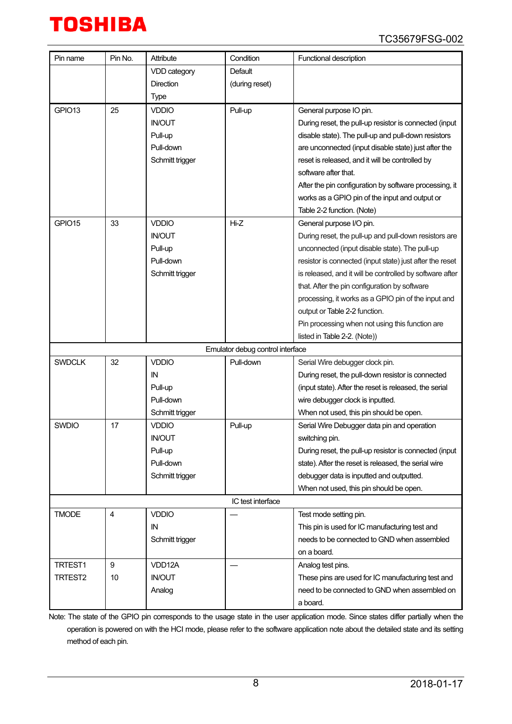| Pin name           | Pin No.        | Attribute        | Condition                        | Functional description                                   |
|--------------------|----------------|------------------|----------------------------------|----------------------------------------------------------|
|                    |                | VDD category     | Default                          |                                                          |
|                    |                | <b>Direction</b> | (during reset)                   |                                                          |
|                    |                | Type             |                                  |                                                          |
| GPIO <sub>13</sub> | 25             | VDDIO            | Pull-up                          | General purpose IO pin.                                  |
|                    |                | <b>IN/OUT</b>    |                                  | During reset, the pull-up resistor is connected (input   |
|                    |                | Pull-up          |                                  | disable state). The pull-up and pull-down resistors      |
|                    |                | Pull-down        |                                  | are unconnected (input disable state) just after the     |
|                    |                | Schmitt trigger  |                                  | reset is released, and it will be controlled by          |
|                    |                |                  |                                  | software after that.                                     |
|                    |                |                  |                                  | After the pin configuration by software processing, it   |
|                    |                |                  |                                  | works as a GPIO pin of the input and output or           |
|                    |                |                  |                                  | Table 2-2 function. (Note)                               |
| GPIO15             | 33             | <b>VDDIO</b>     | $Hi-Z$                           | General purpose I/O pin.                                 |
|                    |                | <b>IN/OUT</b>    |                                  | During reset, the pull-up and pull-down resistors are    |
|                    |                | Pull-up          |                                  | unconnected (input disable state). The pull-up           |
|                    |                | Pull-down        |                                  | resistor is connected (input state) just after the reset |
|                    |                | Schmitt trigger  |                                  | is released, and it will be controlled by software after |
|                    |                |                  |                                  | that. After the pin configuration by software            |
|                    |                |                  |                                  | processing, it works as a GPIO pin of the input and      |
|                    |                |                  |                                  | output or Table 2-2 function.                            |
|                    |                |                  |                                  | Pin processing when not using this function are          |
|                    |                |                  |                                  | listed in Table 2-2. (Note))                             |
|                    |                |                  | Emulator debug control interface |                                                          |
| <b>SWDCLK</b>      | 32             | <b>VDDIO</b>     | Pull-down                        | Serial Wire debugger clock pin.                          |
|                    |                | IN               |                                  | During reset, the pull-down resistor is connected        |
|                    |                | Pull-up          |                                  | (input state). After the reset is released, the serial   |
|                    |                | Pull-down        |                                  | wire debugger clock is inputted.                         |
|                    |                | Schmitt trigger  |                                  | When not used, this pin should be open.                  |
| <b>SWDIO</b>       | 17             | <b>VDDIO</b>     | Pull-up                          | Serial Wire Debugger data pin and operation              |
|                    |                | <b>IN/OUT</b>    |                                  | switching pin.                                           |
|                    |                | Pull-up          |                                  | During reset, the pull-up resistor is connected (input   |
|                    |                | Pull-down        |                                  | state). After the reset is released, the serial wire     |
|                    |                | Schmitt trigger  |                                  | debugger data is inputted and outputted.                 |
|                    |                |                  |                                  | When not used, this pin should be open.                  |
|                    |                |                  | IC test interface                |                                                          |
| <b>TMODE</b>       | $\overline{4}$ | <b>VDDIO</b>     |                                  | Test mode setting pin.                                   |
|                    |                | ΙN               |                                  | This pin is used for IC manufacturing test and           |
|                    |                | Schmitt trigger  |                                  | needs to be connected to GND when assembled              |
|                    |                |                  |                                  | on a board.                                              |
| TRTEST1            | 9              | VDD12A           |                                  | Analog test pins.                                        |
| TRTEST2            | 10             | <b>IN/OUT</b>    |                                  | These pins are used for IC manufacturing test and        |
|                    |                | Analog           |                                  | need to be connected to GND when assembled on            |
|                    |                |                  |                                  | a board.                                                 |
|                    |                |                  |                                  |                                                          |

Note: The state of the GPIO pin corresponds to the usage state in the user application mode. Since states differ partially when the operation is powered on with the HCI mode, please refer to the software application note about the detailed state and its setting method of each pin.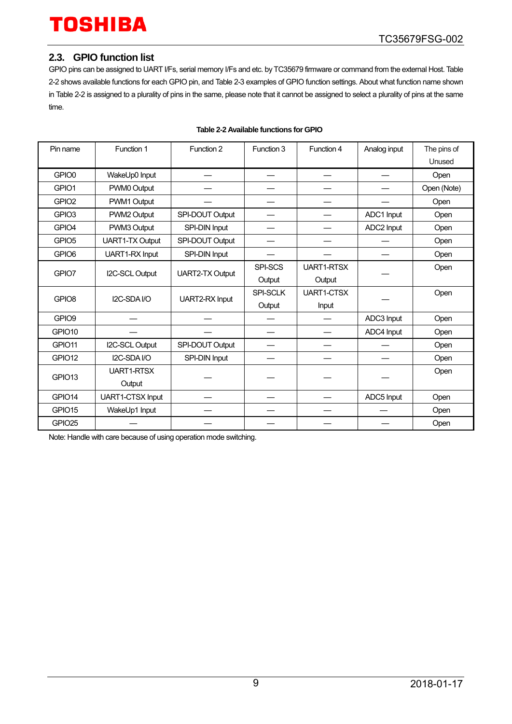#### <span id="page-8-0"></span>**2.3. GPIO function list**

GPIO pins can be assigned to UART I/Fs, serial memory I/Fs and etc. by TC35679 firmware or command from the external Host[. Table](#page-8-1)  [2-2 s](#page-8-1)hows available functions for each GPIO pin, an[d Table 2-3](#page-9-0) examples of GPIO function settings. About what function name shown in [Table 2-2 i](#page-8-1)s assigned to a plurality of pins in the same, please note that it cannot be assigned to select a plurality of pins at the same time.

<span id="page-8-1"></span>

| Pin name           | Function 1              | Function 2             |                 | Function 4        | Analog input | The pins of |
|--------------------|-------------------------|------------------------|-----------------|-------------------|--------------|-------------|
|                    |                         |                        |                 |                   |              | Unused      |
| GPIO0              | WakeUp0 Input           |                        |                 |                   |              | Open        |
| GPIO1              | PWM0 Output             |                        |                 |                   |              | Open (Note) |
| GPIO <sub>2</sub>  | PWM1 Output             |                        |                 |                   |              | Open        |
| GPIO <sub>3</sub>  | PWM2 Output             | SPI-DOUT Output        |                 |                   | ADC1 Input   | Open        |
| GPIO4              | PWM3 Output             | SPI-DIN Input          |                 |                   | ADC2 Input   | Open        |
| GPIO <sub>5</sub>  | <b>UART1-TX Output</b>  | SPI-DOUT Output        |                 |                   |              | Open        |
| GPIO <sub>6</sub>  | UART1-RX Input          | SPI-DIN Input          |                 |                   |              | Open        |
| GPIO7              | I2C-SCL Output          | <b>UART2-TX Output</b> | SPI-SCS         | <b>UART1-RTSX</b> |              | Open        |
|                    |                         |                        | Output          | Output            |              |             |
| GPIO <sub>8</sub>  | I2C-SDA I/O             | UART2-RX Input         | <b>SPI-SCLK</b> | UART1-CTSX        |              | Open        |
|                    |                         |                        | Output          | Input             |              |             |
| GPIO9              |                         |                        |                 |                   | ADC3 Input   | Open        |
| GPIO10             |                         |                        |                 |                   | ADC4 Input   | Open        |
| GPIO11             | <b>I2C-SCL Output</b>   | SPI-DOUT Output        |                 |                   |              | Open        |
| GPIO12             | I2C-SDA I/O             | SPI-DIN Input          |                 |                   |              | Open        |
| GPIO <sub>13</sub> | <b>UART1-RTSX</b>       |                        |                 |                   |              | Open        |
|                    | Output                  |                        |                 |                   |              |             |
| GPIO14             | <b>UART1-CTSX Input</b> |                        |                 |                   | ADC5 Input   | Open        |
| GPIO15             | WakeUp1 Input           |                        |                 |                   |              | Open        |
| GPIO25             |                         |                        |                 |                   |              | Open        |

#### **Table 2-2 Available functions for GPIO**

Note: Handle with care because of using operation mode switching.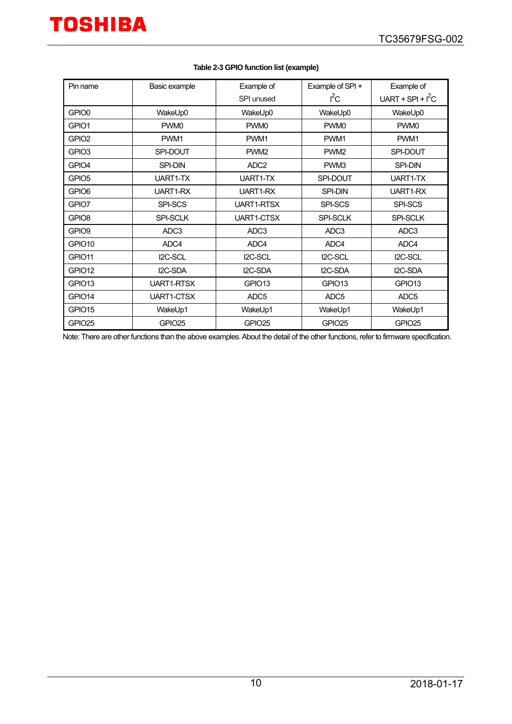<span id="page-9-0"></span>

| Pin name           | Basic example      | Example of         | Example of SPI +   | Example of          |
|--------------------|--------------------|--------------------|--------------------|---------------------|
|                    |                    | SPI unused         | $I^2C$             | UART + SPI + $I^2C$ |
| GPIO0              | WakeUp0            | WakeUp0            | WakeUp0            | WakeUp0             |
| GPIO1              | PWM <sub>0</sub>   | PWM <sub>0</sub>   | PWM <sub>0</sub>   | PWM <sub>0</sub>    |
| GPIO <sub>2</sub>  | PWM1               | PWM1               | PWM1               | PWM <sub>1</sub>    |
| GPIO <sub>3</sub>  | SPI-DOUT           | PWM <sub>2</sub>   | PWM <sub>2</sub>   | SPI-DOUT            |
| GPIO4              | <b>SPI-DIN</b>     | ADC <sub>2</sub>   | PWM3               | <b>SPI-DIN</b>      |
| GPIO <sub>5</sub>  | UART1-TX           | UART1-TX           | SPI-DOUT           | UART1-TX            |
| GPIO6              | UART1-RX           | UART1-RX           | <b>SPI-DIN</b>     | UART1-RX            |
| GPIO7              | SPI-SCS            | <b>UART1-RTSX</b>  | SPI-SCS            | SPI-SCS             |
| GPIO <sub>8</sub>  | SPI-SCLK           | <b>UART1-CTSX</b>  | SPI-SCLK           | SPI-SCLK            |
| GPIO9              | ADC <sub>3</sub>   | ADC3               | ADC <sub>3</sub>   | ADC3                |
| GPIO <sub>10</sub> | ADC4               | ADC4               | ADC4               | ADC4                |
| GPIO11             | I2C-SCL            | I2C-SCL            | I2C-SCL            | I2C-SCL             |
| GPIO12             | I2C-SDA            | I2C-SDA            | I2C-SDA            | I2C-SDA             |
| GPIO <sub>13</sub> | <b>UART1-RTSX</b>  | GPIO <sub>13</sub> | GPIO <sub>13</sub> | GPIO <sub>13</sub>  |
| GPIO14             | <b>UART1-CTSX</b>  | ADC <sub>5</sub>   | ADC <sub>5</sub>   | ADC <sub>5</sub>    |
| GPIO15             | WakeUp1            | WakeUp1            | WakeUp1            | WakeUp1             |
| GPIO25             | GPIO <sub>25</sub> | GPIO <sub>25</sub> | GPIO <sub>25</sub> | GPIO <sub>25</sub>  |

#### **Table 2-3 GPIO function list (example)**

Note: There are other functions than the above examples. About the detail of the other functions, refer to firmware specification.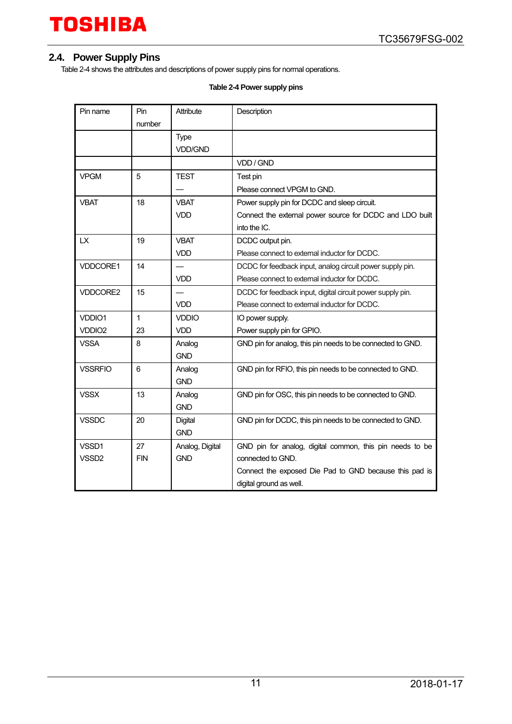### <span id="page-10-0"></span>**2.4. Power Supply Pins**

<span id="page-10-1"></span>[Table 2-4](#page-10-1) shows the attributes and descriptions of power supply pins for normal operations.

#### **Table 2-4 Power supply pins**

| Pin name           | Pin<br>number | Attribute                     | Description                                                |
|--------------------|---------------|-------------------------------|------------------------------------------------------------|
|                    |               | <b>Type</b><br><b>VDD/GND</b> |                                                            |
|                    |               |                               | VDD / GND                                                  |
| <b>VPGM</b>        | 5             | <b>TEST</b>                   | Test pin                                                   |
|                    |               |                               | Please connect VPGM to GND.                                |
| <b>VBAT</b>        | 18            | <b>VBAT</b>                   | Power supply pin for DCDC and sleep circuit.               |
|                    |               | <b>VDD</b>                    | Connect the external power source for DCDC and LDO built   |
|                    |               |                               | into the IC.                                               |
| LX                 | 19            | <b>VBAT</b>                   | DCDC output pin.                                           |
|                    |               | <b>VDD</b>                    | Please connect to external inductor for DCDC.              |
| VDDCORE1           | 14            |                               | DCDC for feedback input, analog circuit power supply pin.  |
|                    |               | <b>VDD</b>                    | Please connect to external inductor for DCDC.              |
| VDDCORE2           | 15            |                               | DCDC for feedback input, digital circuit power supply pin. |
|                    |               | <b>VDD</b>                    | Please connect to external inductor for DCDC.              |
| VDDIO1             | 1             | <b>VDDIO</b>                  | IO power supply.                                           |
| VDDIO <sub>2</sub> | 23            | <b>VDD</b>                    | Power supply pin for GPIO.                                 |
| <b>VSSA</b>        | 8             | Analog<br><b>GND</b>          | GND pin for analog, this pin needs to be connected to GND. |
| <b>VSSRFIO</b>     | 6             | Analog<br><b>GND</b>          | GND pin for RFIO, this pin needs to be connected to GND.   |
| <b>VSSX</b>        | 13            | Analog<br><b>GND</b>          | GND pin for OSC, this pin needs to be connected to GND.    |
| <b>VSSDC</b>       | 20            | Digital<br><b>GND</b>         | GND pin for DCDC, this pin needs to be connected to GND.   |
| VSSD1              | 27            | Analog, Digital               | GND pin for analog, digital common, this pin needs to be   |
| VSSD <sub>2</sub>  | <b>FIN</b>    | <b>GND</b>                    | connected to GND.                                          |
|                    |               |                               | Connect the exposed Die Pad to GND because this pad is     |
|                    |               |                               | digital ground as well.                                    |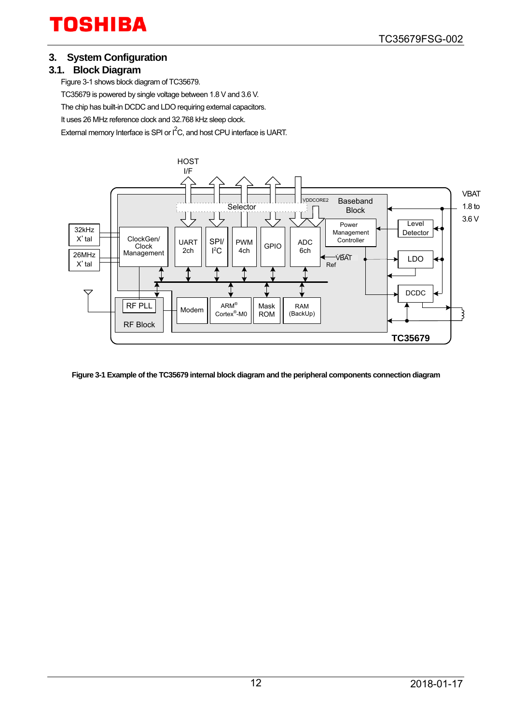#### <span id="page-11-0"></span>**3. System Configuration**

#### <span id="page-11-1"></span>**3.1. Block Diagram**

[Figure 3-1 s](#page-11-2)hows block diagram of TC35679. TC35679 is powered by single voltage between 1.8 V and 3.6 V. The chip has built-in DCDC and LDO requiring external capacitors. It uses 26 MHz reference clock and 32.768 kHz sleep clock. External memory Interface is SPI or  $I^2C$ , and host CPU interface is UART.



<span id="page-11-2"></span>**Figure 3-1 Example of the TC35679 internal block diagram and the peripheral components connection diagram**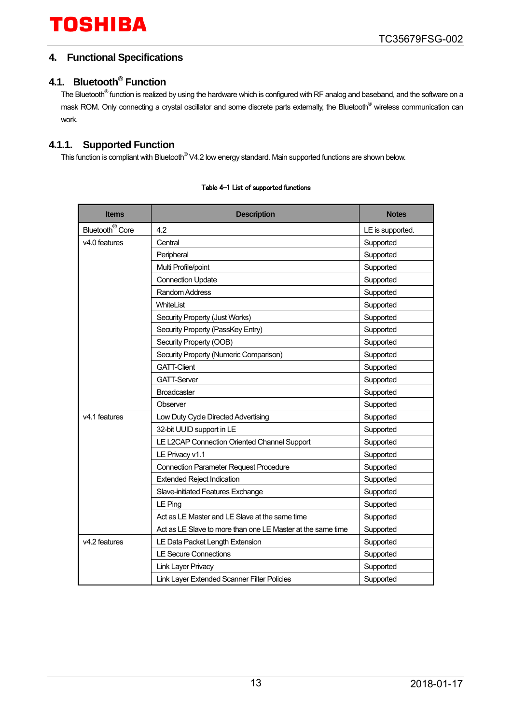### <span id="page-12-0"></span>**4. Functional Specifications**

# <span id="page-12-1"></span>**4.1. Bluetooth® Function**

The Bluetooth<sup>®</sup> function is realized by using the hardware which is configured with RF analog and baseband, and the software on a mask ROM. Only connecting a crystal oscillator and some discrete parts externally, the Bluetooth<sup>®</sup> wireless communication can work.

### <span id="page-12-2"></span>**4.1.1. Supported Function**

This function is compliant with Bluetooth® V4.2 low energy standard. Main supported functions are shown below.

| <b>Items</b>                | <b>Description</b>                                          | <b>Notes</b>     |
|-----------------------------|-------------------------------------------------------------|------------------|
| Bluetooth <sup>®</sup> Core | 4.2                                                         | LE is supported. |
| v <sub>4.0</sub> features   | Central                                                     | Supported        |
|                             | Peripheral                                                  | Supported        |
|                             | Multi Profile/point                                         | Supported        |
|                             | <b>Connection Update</b>                                    | Supported        |
|                             | <b>Random Address</b>                                       | Supported        |
|                             | WhiteList                                                   | Supported        |
|                             | Security Property (Just Works)                              | Supported        |
|                             | Security Property (PassKey Entry)                           | Supported        |
|                             | Security Property (OOB)                                     | Supported        |
|                             | Security Property (Numeric Comparison)                      | Supported        |
|                             | <b>GATT-Client</b>                                          | Supported        |
|                             | <b>GATT-Server</b>                                          | Supported        |
|                             | <b>Broadcaster</b>                                          | Supported        |
|                             | Observer                                                    | Supported        |
| v4.1 features               | Low Duty Cycle Directed Advertising                         | Supported        |
|                             | 32-bit UUID support in LE                                   | Supported        |
|                             | LE L2CAP Connection Oriented Channel Support                | Supported        |
|                             | LE Privacy v1.1                                             | Supported        |
|                             | <b>Connection Parameter Request Procedure</b>               | Supported        |
|                             | <b>Extended Reject Indication</b>                           | Supported        |
|                             | Slave-initiated Features Exchange                           | Supported        |
|                             | LE Ping                                                     | Supported        |
|                             | Act as LE Master and LE Slave at the same time              | Supported        |
|                             | Act as LE Slave to more than one LE Master at the same time | Supported        |
| v4.2 features               | LE Data Packet Length Extension                             | Supported        |
|                             | <b>LE Secure Connections</b>                                | Supported        |
|                             | <b>Link Layer Privacy</b>                                   | Supported        |
|                             | Link Layer Extended Scanner Filter Policies                 | Supported        |

#### Table 4-1 List of supported functions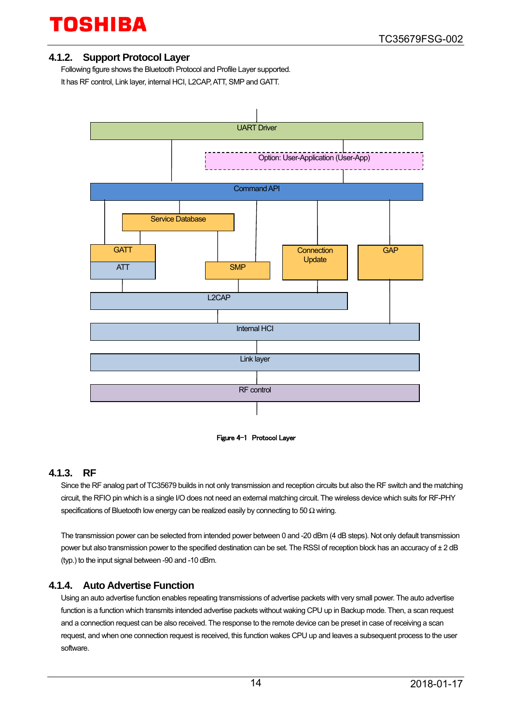#### <span id="page-13-0"></span>**4.1.2. Support Protocol Layer**

Following figure shows the Bluetooth Protocol and Profile Layer supported. It has RF control, Link layer, internal HCI, L2CAP, ATT, SMP and GATT.





#### <span id="page-13-1"></span>**4.1.3. RF**

Since the RF analog part of TC35679 builds in not only transmission and reception circuits but also the RF switch and the matching circuit, the RFIO pin which is a single I/O does not need an external matching circuit. The wireless device which suits for RF-PHY specifications of Bluetooth low energy can be realized easily by connecting to 50  $\Omega$  wiring.

The transmission power can be selected from intended power between 0 and -20 dBm (4 dB steps). Not only default transmission power but also transmission power to the specified destination can be set. The RSSI of reception block has an accuracy of ± 2 dB (typ.) to the input signal between -90 and -10 dBm.

#### <span id="page-13-2"></span>**4.1.4. Auto Advertise Function**

Using an auto advertise function enables repeating transmissions of advertise packets with very small power. The auto advertise function is a function which transmits intended advertise packets without waking CPU up in Backup mode. Then, a scan request and a connection request can be also received. The response to the remote device can be preset in case of receiving a scan request, and when one connection request is received, this function wakes CPU up and leaves a subsequent process to the user software.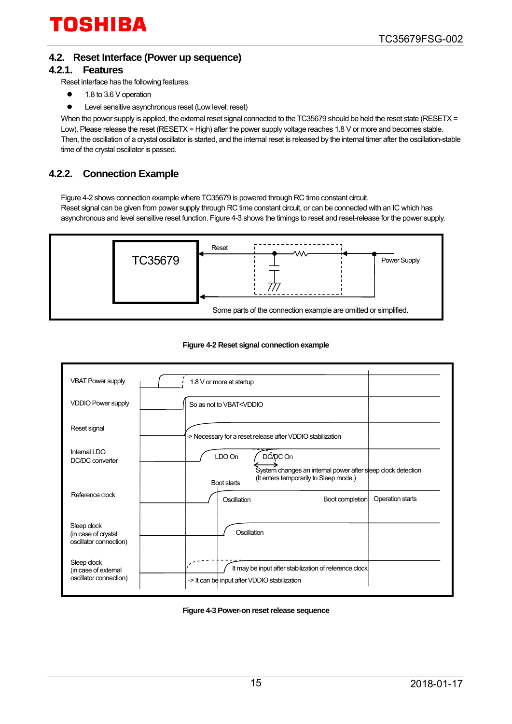### <span id="page-14-0"></span>**4.2. Reset Interface (Power up sequence)**

#### <span id="page-14-1"></span>**4.2.1. Features**

Reset interface has the following features.

- 1.8 to 3.6 V operation
- Level sensitive asynchronous reset (Low level: reset)

When the power supply is applied, the external reset signal connected to the TC35679 should be held the reset state (RESETX = Low). Please release the reset (RESETX = High) after the power supply voltage reaches 1.8 V or more and becomes stable. Then, the oscillation of a crystal oscillator is started, and the internal reset is released by the internal timer after the oscillation-stable time of the crystal oscillator is passed.

### <span id="page-14-2"></span>**4.2.2. Connection Example**

[Figure 4-2 s](#page-14-3)hows connection example where TC35679 is powered through RC time constant circuit.

Reset signal can be given from power supply through RC time constant circuit, or can be connected with an IC which has asynchronous and level sensitive reset function. [Figure 4-3](#page-14-4) shows the timings to reset and reset-release for the power supply.



#### **Figure 4-2 Reset signal connection example**

<span id="page-14-3"></span>

| <b>VBAT Power supply</b>                                      | 1.8 V or more at startup                                                                                                                    |
|---------------------------------------------------------------|---------------------------------------------------------------------------------------------------------------------------------------------|
| <b>VDDIO Power supply</b>                                     | So as not to VBAT <vddio< td=""></vddio<>                                                                                                   |
| Reset signal                                                  | -> Necessary for a reset release after VDDIO stabilization                                                                                  |
| Internal LDO<br>DC/DC converter                               | DC/DC On<br>LDO On<br>System changes an internal power after sleep clock detection<br>(It enters temporarily to Sleep mode.)<br>Boot starts |
| Reference clock                                               | Operation starts<br>Oscillation<br>Boot completion                                                                                          |
| Sleep clock<br>(in case of crystal<br>oscillator connection)  | Oscillation                                                                                                                                 |
| Sleep clock<br>(in case of external<br>oscillator connection) | It may be input after stabilization of reference clock<br>-> It can be input after VDDIO stabilization                                      |

#### <span id="page-14-4"></span>**Figure 4-3 Power-on reset release sequence**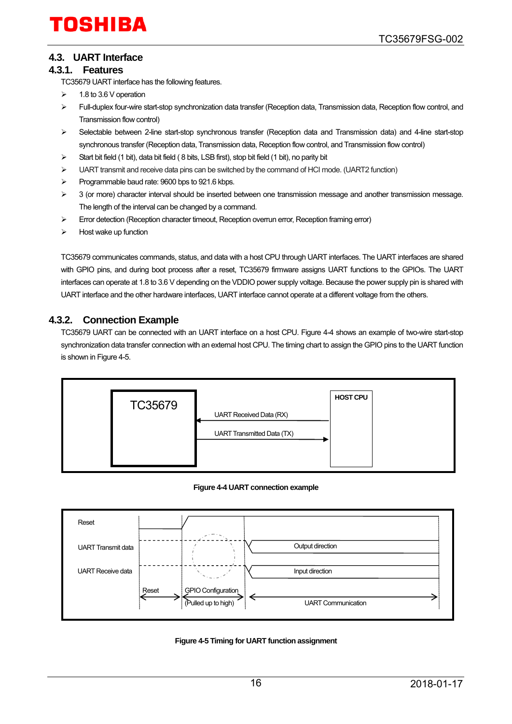## <span id="page-15-0"></span>**4.3. UART Interface**

#### <span id="page-15-1"></span>**4.3.1. Features**

TC35679 UART interface has the following features.

- $\geq$  1.8 to 3.6 V operation
- Full-duplex four-wire start-stop synchronization data transfer (Reception data, Transmission data, Reception flow control, and Transmission flow control)
- Selectable between 2-line start-stop synchronous transfer (Reception data and Transmission data) and 4-line start-stop synchronous transfer (Reception data, Transmission data, Reception flow control, and Transmission flow control)
- $\triangleright$  Start bit field (1 bit), data bit field (8 bits, LSB first), stop bit field (1 bit), no parity bit
- $\geq$  UART transmit and receive data pins can be switched by the command of HCI mode. (UART2 function)
- $\triangleright$  Programmable baud rate: 9600 bps to 921.6 kbps.
- $>$  3 (or more) character interval should be inserted between one transmission message and another transmission message. The length of the interval can be changed by a command.
- $\triangleright$  Error detection (Reception character timeout, Reception overrun error, Reception framing error)
- $\triangleright$  Host wake up function

TC35679 communicates commands, status, and data with a host CPU through UART interfaces. The UART interfaces are shared with GPIO pins, and during boot process after a reset, TC35679 firmware assigns UART functions to the GPIOs. The UART interfaces can operate at 1.8 to 3.6 V depending on the VDDIO power supply voltage. Because the power supply pin is shared with UART interface and the other hardware interfaces, UART interface cannot operate at a different voltage from the others.

### <span id="page-15-2"></span>**4.3.2. Connection Example**

TC35679 UART can be connected with an UART interface on a host CPU. [Figure 4-4](#page-15-3) shows an example of two-wire start-stop synchronization data transfer connection with an external host CPU. The timing chart to assign the GPIO pins to the UART function is shown in Figure 4-5.



#### **Figure 4-4 UART connection example**

<span id="page-15-3"></span>

<span id="page-15-4"></span>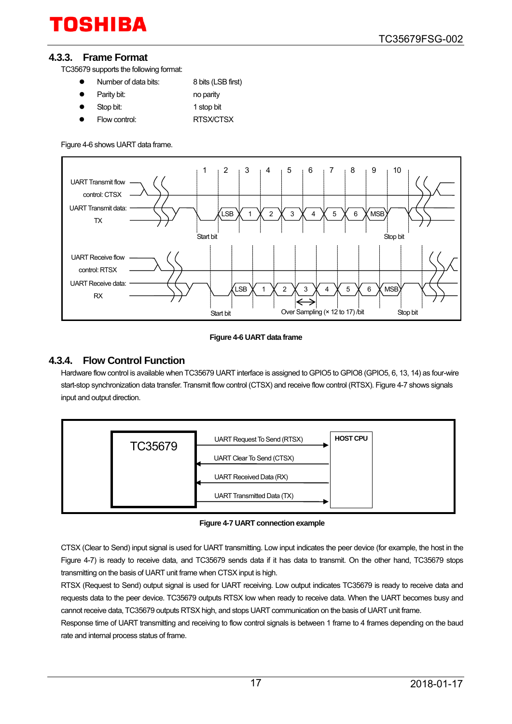#### <span id="page-16-0"></span>**4.3.3. Frame Format**

TC35679 supports the following format:

- Number of data bits: 8 bits (LSB first)
- Parity bit: no parity
- Stop bit: 1 stop bit
- Flow control: RTSX/CTSX

[Figure 4-6 s](#page-16-2)hows UART data frame.



#### **Figure 4-6 UART data frame**

#### <span id="page-16-2"></span><span id="page-16-1"></span>**4.3.4. Flow Control Function**

Hardware flow control is available when TC35679 UART interface is assigned to GPIO5 to GPIO8 (GPIO5, 6, 13, 14) as four-wire start-stop synchronization data transfer. Transmit flow control (CTSX) and receive flow control (RTSX)[. Figure 4-7 s](#page-16-3)hows signals input and output direction.



**Figure 4-7 UART connection example**

<span id="page-16-3"></span>CTSX (Clear to Send) input signal is used for UART transmitting. Low input indicates the peer device (for example, the host in the [Figure 4-7\)](#page-16-3) is ready to receive data, and TC35679 sends data if it has data to transmit. On the other hand, TC35679 stops transmitting on the basis of UART unit frame when CTSX input is high.

RTSX (Request to Send) output signal is used for UART receiving. Low output indicates TC35679 is ready to receive data and requests data to the peer device. TC35679 outputs RTSX low when ready to receive data. When the UART becomes busy and cannot receive data, TC35679 outputs RTSX high, and stops UART communication on the basis of UART unit frame.

Response time of UART transmitting and receiving to flow control signals is between 1 frame to 4 frames depending on the baud rate and internal process status of frame.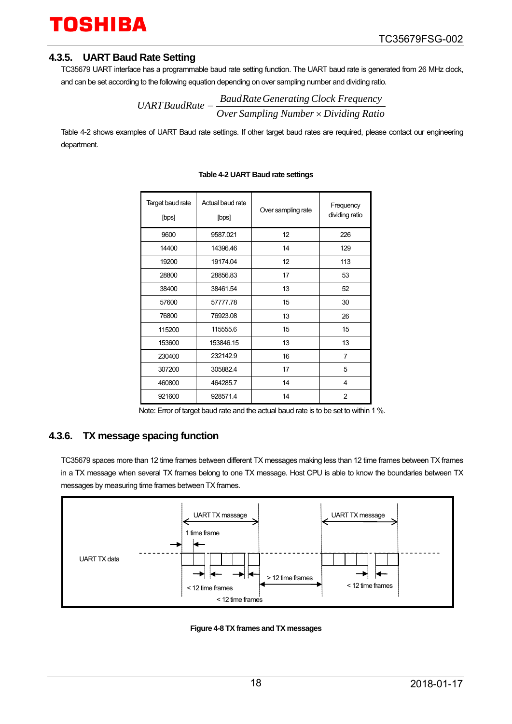#### <span id="page-17-0"></span>**4.3.5. UART Baud Rate Setting**

TC35679 UART interface has a programmable baud rate setting function. The UART baud rate is generated from 26 MHz clock, and can be set according to the following equation depending on over sampling number and dividing ratio.

$$
UARTBaudRate = \frac{BaudRate Generating Clock Frequency}{Over Sampling Number \times Dividing Ratio}
$$

<span id="page-17-2"></span>[Table 4-2](#page-17-2) shows examples of UART Baud rate settings. If other target baud rates are required, please contact our engineering department.

| Target baud rate<br>[bps] | Actual baud rate<br>[bps] | Over sampling rate | Frequency<br>dividing ratio |
|---------------------------|---------------------------|--------------------|-----------------------------|
| 9600                      | 9587.021                  | 12                 | 226                         |
| 14400                     | 14396.46                  | 14                 | 129                         |
| 19200                     | 19174.04                  | 12                 | 113                         |
| 28800                     | 28856.83                  | 17                 | 53                          |
| 38400                     | 38461.54                  | 13                 | 52                          |
| 57600                     | 57777.78                  | 15                 | 30                          |
| 76800                     | 76923.08                  | 13                 | 26                          |
| 115200                    | 115555.6                  | 15                 | 15                          |
| 153600                    | 153846.15                 | 13                 | 13                          |
| 230400                    | 232142.9                  | 16                 | 7                           |
| 307200                    | 305882.4                  | 17                 | 5                           |
| 460800                    | 464285.7                  | 14                 | 4                           |
| 921600                    | 928571.4                  | 14                 | $\overline{2}$              |

#### **Table 4-2 UART Baud rate settings**

Note: Error of target baud rate and the actual baud rate is to be set to within 1 %.

### <span id="page-17-1"></span>**4.3.6. TX message spacing function**

TC35679 spaces more than 12 time frames between different TX messages making less than 12 time frames between TX frames in a TX message when several TX frames belong to one TX message. Host CPU is able to know the boundaries between TX messages by measuring time frames between TX frames.



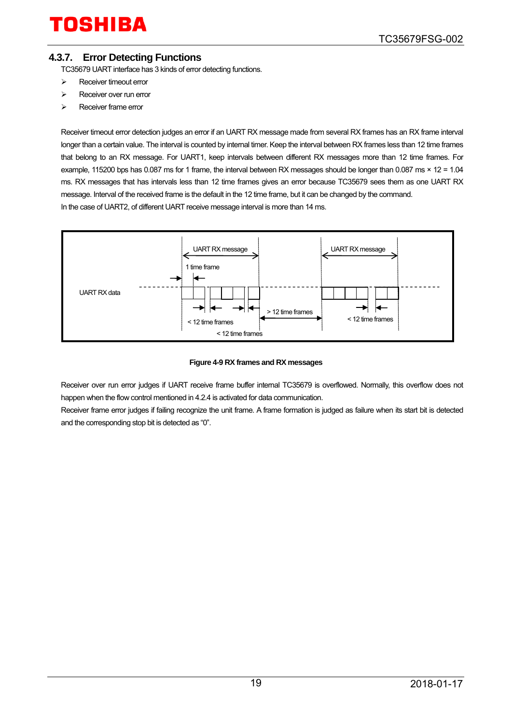### <span id="page-18-0"></span>**4.3.7. Error Detecting Functions**

TC35679 UART interface has 3 kinds of error detecting functions.

- $\triangleright$  Receiver timeout error
- $\triangleright$  Receiver over run error
- Receiver frame error

Receiver timeout error detection judges an error if an UART RX message made from several RX frames has an RX frame interval longer than a certain value. The interval is counted by internal timer. Keep the interval between RX frames less than 12 time frames that belong to an RX message. For UART1, keep intervals between different RX messages more than 12 time frames. For example, 115200 bps has 0.087 ms for 1 frame, the interval between RX messages should be longer than 0.087 ms × 12 = 1.04 ms. RX messages that has intervals less than 12 time frames gives an error because TC35679 sees them as one UART RX message. Interval of the received frame is the default in the 12 time frame, but it can be changed by the command. In the case of UART2, of different UART receive message interval is more than 14 ms.



#### **Figure 4-9 RX frames and RX messages**

Receiver over run error judges if UART receive frame buffer internal TC35679 is overflowed. Normally, this overflow does not happen when the flow control mentioned in 4.2.4 is activated for data communication.

Receiver frame error judges if failing recognize the unit frame. A frame formation is judged as failure when its start bit is detected and the corresponding stop bit is detected as "0".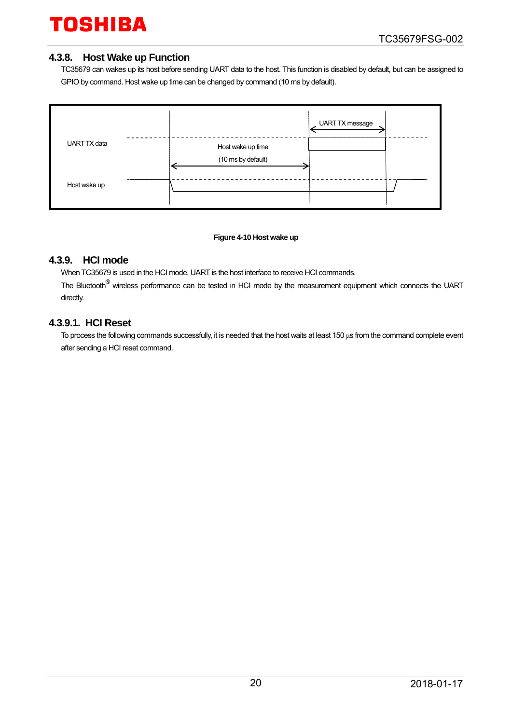#### <span id="page-19-0"></span>**4.3.8. Host Wake up Function**

TC35679 can wakes up its host before sending UART data to the host. This function is disabled by default, but can be assigned to GPIO by command. Host wake up time can be changed by command (10 ms by default).



#### **Figure 4-10 Host wake up**

#### <span id="page-19-1"></span>**4.3.9. HCI mode**

When TC35679 is used in the HCI mode, UART is the host interface to receive HCI commands.

The Bluetooth<sup>®</sup> wireless performance can be tested in HCI mode by the measurement equipment which connects the UART directly.

#### <span id="page-19-2"></span>**4.3.9.1. HCI Reset**

To process the following commands successfully, it is needed that the host waits at least 150 μs from the command complete event after sending a HCI reset command.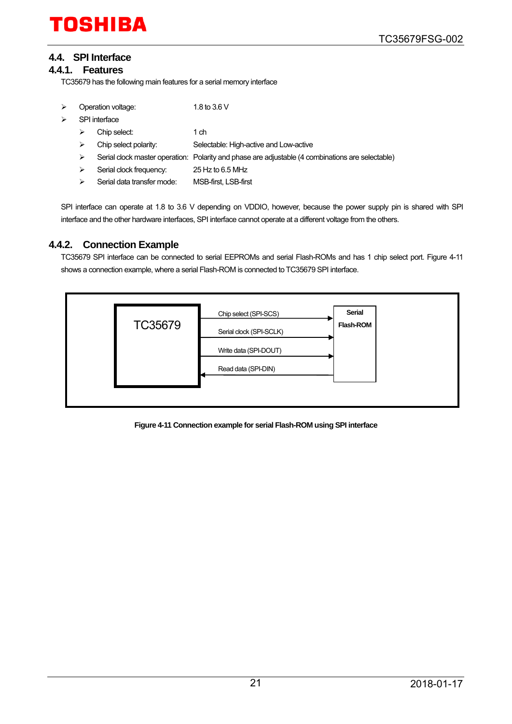## <span id="page-20-0"></span>**4.4. SPI Interface**

#### <span id="page-20-1"></span>**4.4.1. Features**

TC35679 has the following main features for a serial memory interface

| ⋗ | Operation voltage:                 |                            | 1.8 to 3.6 V                                                                                     |
|---|------------------------------------|----------------------------|--------------------------------------------------------------------------------------------------|
| ⋗ | SPI interface<br>Chip select:<br>⋗ |                            |                                                                                                  |
|   |                                    |                            | 1 ch                                                                                             |
|   | ⋗                                  | Chip select polarity:      | Selectable: High-active and Low-active                                                           |
|   | ⋗                                  |                            | Serial clock master operation: Polarity and phase are adjustable (4 combinations are selectable) |
|   | ⋗                                  | Serial clock frequency:    | 25 Hz to 6.5 MHz                                                                                 |
|   | ⋗                                  | Serial data transfer mode: | MSB-first, LSB-first                                                                             |
|   |                                    |                            |                                                                                                  |

SPI interface can operate at 1.8 to 3.6 V depending on VDDIO, however, because the power supply pin is shared with SPI interface and the other hardware interfaces, SPI interface cannot operate at a different voltage from the others.

### <span id="page-20-2"></span>**4.4.2. Connection Example**

TC35679 SPI interface can be connected to serial EEPROMs and serial Flash-ROMs and has 1 chip select port. [Figure 4-11](#page-20-3) shows a connection example, where a serial Flash-ROM is connected to TC35679 SPI interface.



<span id="page-20-3"></span>**Figure 4-11 Connection example for serial Flash-ROM using SPI interface**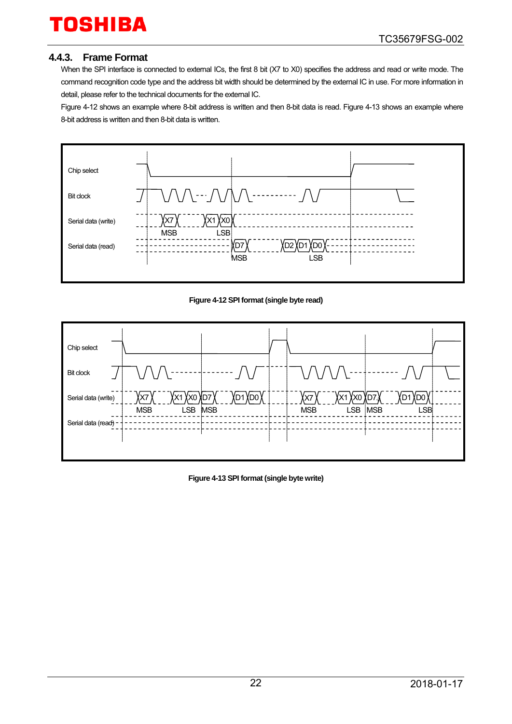### <span id="page-21-0"></span>**4.4.3. Frame Format**

When the SPI interface is connected to external ICs, the first 8 bit (X7 to X0) specifies the address and read or write mode. The command recognition code type and the address bit width should be determined by the external IC in use. For more information in detail, please refer to the technical documents for the external IC.

[Figure 4-12](#page-21-1) shows an example where 8-bit address is written and then 8-bit data is read. [Figure 4-13](#page-21-2) shows an example where 8-bit address is written and then 8-bit data is written.



#### **Figure 4-12 SPI format (single byte read)**

<span id="page-21-1"></span>

<span id="page-21-2"></span>**Figure 4-13 SPI format (single byte write)**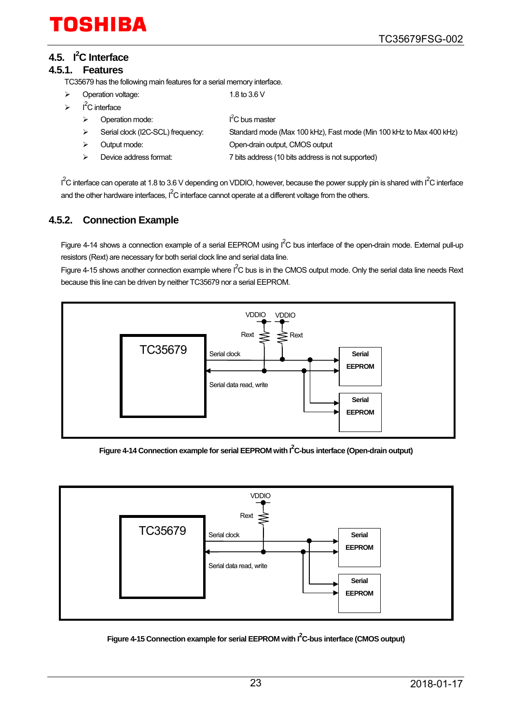# <span id="page-22-0"></span>**4.5. I2 C Interface**

#### <span id="page-22-1"></span>**4.5.1. Features**

TC35679 has the following main features for a serial memory interface.

- Operation voltage: 1.8 to 3.6 V
- $\triangleright$  I<sup>2</sup>C interface
- $I<sup>2</sup>C$  bus master
- ▶ Serial clock (I2C-SCL) frequency: Standard mode (Max 100 kHz), Fast mode (Min 100 kHz to Max 400 kHz)
- Output mode: Open-drain output, CMOS output
- Device address format: 7 bits address (10 bits address is not supported)

 $1^2$ C interface can operate at 1.8 to 3.6 V depending on VDDIO, however, because the power supply pin is shared with  $1^2$ C interface and the other hardware interfaces,  $I^2C$  interface cannot operate at a different voltage from the others.

### <span id="page-22-2"></span>**4.5.2. Connection Example**

 $\triangleright$  Operation mode:

[Figure 4-14](#page-22-3) shows a connection example of a serial EEPROM using  $I^2C$  bus interface of the open-drain mode. External pull-up resistors (Rext) are necessary for both serial clock line and serial data line.

[Figure 4-15](#page-22-4) shows another connection example where  $I^2C$  bus is in the CMOS output mode. Only the serial data line needs Rext because this line can be driven by neither TC35679 nor a serial EEPROM.



Figure 4-14 Connection example for serial EEPROM with I<sup>2</sup>C-bus interface (Open-drain output)

<span id="page-22-3"></span>

<span id="page-22-4"></span>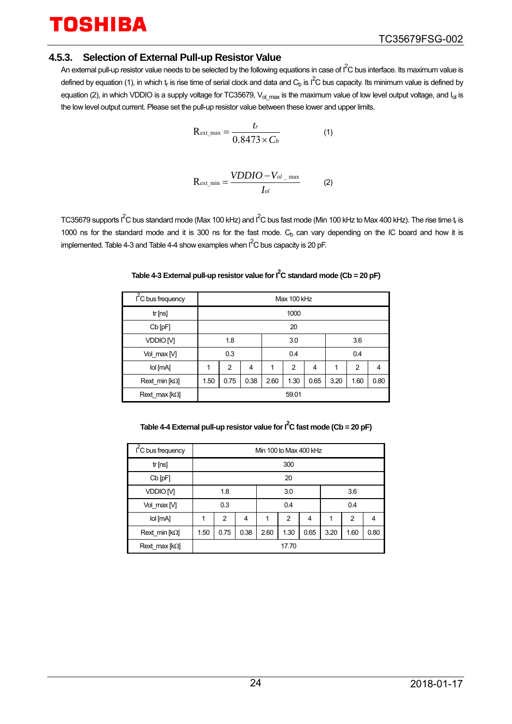# **TOSHIRA**

#### <span id="page-23-0"></span>**4.5.3. Selection of External Pull-up Resistor Value**

An external pull-up resistor value needs to be selected by the following equations in case of  $I^2C$  bus interface. Its maximum value is defined by equation (1), in which t<sub>r</sub> is rise time of serial clock and data and C<sub>b</sub> is I<sup>2</sup>C bus capacity. Its minimum value is defined by equation (2), in which VDDIO is a supply voltage for TC35679,  $V_{ol}$  max is the maximum value of low level output voltage, and  $I_{ol}$  is the low level output current. Please set the pull-up resistor value between these lower and upper limits.

$$
R_{\text{ext\_max}} = \frac{t_r}{0.8473 \times C_b}
$$
 (1)

$$
R_{\text{ext\_min}} = \frac{VDDIO - V_{ol_{\text{max}}}}{I_{ol}}
$$
 (2)

<span id="page-23-1"></span>TC35679 supports I<sup>2</sup>C bus standard mode (Max 100 kHz) and I<sup>2</sup>C bus fast mode (Min 100 kHz to Max 400 kHz). The rise time t<sub>r</sub> is 1000 ns for the standard mode and it is 300 ns for the fast mode.  $C_b$  can vary depending on the IC board and how it is implemented[. Table 4-3 a](#page-23-1)n[d Table 4-4 s](#page-23-2)how examples when  $I^2C$  bus capacity is 20 pF.

| $1^2$ C bus frequency |       | Max 100 kHz    |      |      |                |      |      |                |      |
|-----------------------|-------|----------------|------|------|----------------|------|------|----------------|------|
| tr[ns]                |       | 1000           |      |      |                |      |      |                |      |
| Cb [pF]               |       | 20             |      |      |                |      |      |                |      |
| VDDIO <sub>M</sub>    | 1.8   |                |      | 3.0  |                |      | 3.6  |                |      |
| Vol_max [V]           | 0.3   |                |      | 0.4  |                |      | 0.4  |                |      |
| lol [mA]              | 1     | $\overline{2}$ | 4    | 1    | $\overline{2}$ | 4    | 1    | $\overline{2}$ | 4    |
| Rext min $[k\Omega]$  | 1.50  | 0.75           | 0.38 | 2.60 | 1.30           | 0.65 | 3.20 | 1.60           | 0.80 |
| Rext max $[k\Omega]$  | 59.01 |                |      |      |                |      |      |                |      |
|                       |       |                |      |      |                |      |      |                |      |

#### Table 4-3 External pull-up resistor value for  $I^2C$  standard mode (Cb = 20 pF)

| Table 4-4 External pull-up resistor value for $I^2C$ fast mode (Cb = 20 pF) |  |
|-----------------------------------------------------------------------------|--|

<span id="page-23-2"></span>

| I <sup>2</sup> C bus frequency |       | Min 100 to Max 400 kHz |      |      |      |                |      |      |      |  |
|--------------------------------|-------|------------------------|------|------|------|----------------|------|------|------|--|
| tr[ns]                         |       | 300                    |      |      |      |                |      |      |      |  |
| $Cb$ [pF]                      |       | 20                     |      |      |      |                |      |      |      |  |
| VDDIO M                        |       | 1.8                    |      | 3.0  |      |                | 3.6  |      |      |  |
| Vol max M                      | 0.3   |                        |      | 0.4  |      |                | 0.4  |      |      |  |
| lol [mA]                       | 1     | 2                      | 4    | 1    | 2    | $\overline{4}$ | 1    | 2    | 4    |  |
| Rext min $[k\Omega]$           | 1.50  | 0.75                   | 0.38 | 2.60 | 1.30 | 0.65           | 3.20 | 1.60 | 0.80 |  |
| Rext max $[k\Omega]$           | 17.70 |                        |      |      |      |                |      |      |      |  |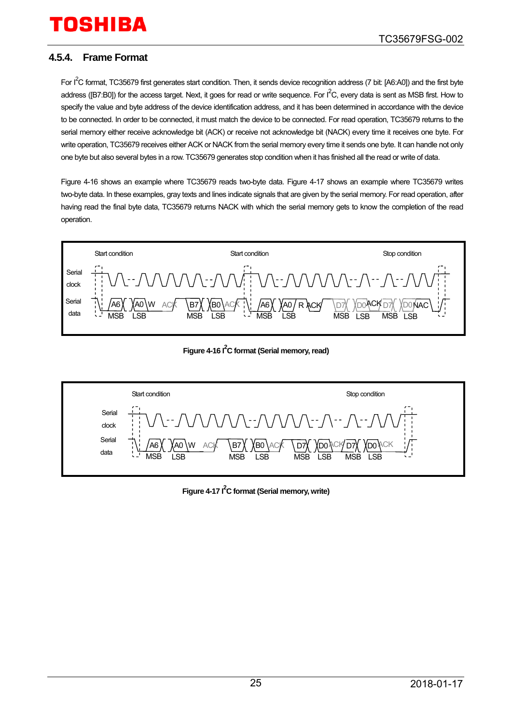# OSHIRA

### <span id="page-24-0"></span>**4.5.4. Frame Format**

For I<sup>2</sup>C format, TC35679 first generates start condition. Then, it sends device recognition address (7 bit: [A6:A0]) and the first byte address ([B7:B0]) for the access target. Next, it goes for read or write sequence. For  $I^2C$ , every data is sent as MSB first. How to specify the value and byte address of the device identification address, and it has been determined in accordance with the device to be connected. In order to be connected, it must match the device to be connected. For read operation, TC35679 returns to the serial memory either receive acknowledge bit (ACK) or receive not acknowledge bit (NACK) every time it receives one byte. For write operation, TC35679 receives either ACK or NACK from the serial memory every time it sends one byte. It can handle not only one byte but also several bytes in a row. TC35679 generates stop condition when it has finished all the read or write of data.

[Figure 4-16](#page-24-1) shows an example where TC35679 reads two-byte data. [Figure 4-17](#page-24-2) shows an example where TC35679 writes two-byte data. In these examples, gray texts and lines indicate signals that are given by the serial memory. For read operation, after having read the final byte data, TC35679 returns NACK with which the serial memory gets to know the completion of the read operation.



Figure 4-16 <sup>2</sup>C format (Serial memory, read)

<span id="page-24-2"></span><span id="page-24-1"></span>

**Figure 4-17 I2 C format (Serial memory, write)**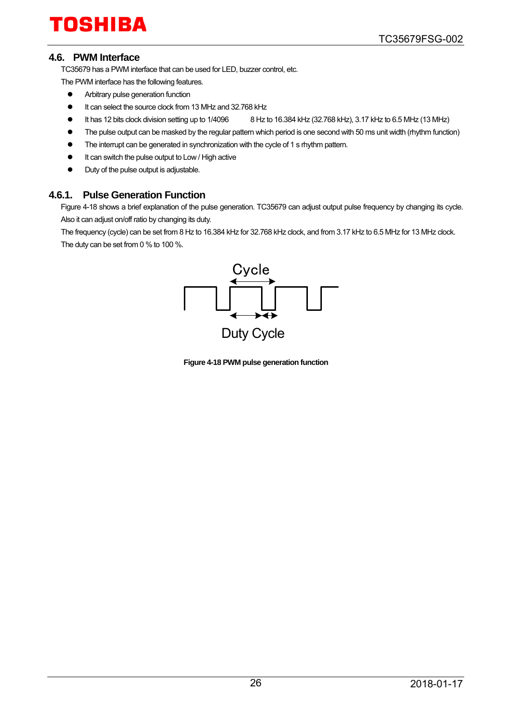### <span id="page-25-0"></span>**4.6. PWM Interface**

TC35679 has a PWM interface that can be used for LED, buzzer control, etc.

The PWM interface has the following features.

- **•** Arbitrary pulse generation function
- It can select the source clock from 13 MHz and 32.768 kHz
- $\bullet$  It has 12 bits clock division setting up to 1/4096  $\bullet$  8 Hz to 16.384 kHz (32.768 kHz), 3.17 kHz to 6.5 MHz (13 MHz)
- The pulse output can be masked by the regular pattern which period is one second with 50 ms unit width (rhythm function)
- The interrupt can be generated in synchronization with the cycle of 1 s rhythm pattern.
- $\bullet$  It can switch the pulse output to Low / High active
- Duty of the pulse output is adjustable.

#### <span id="page-25-1"></span>**4.6.1. Pulse Generation Function**

[Figure 4-18](#page-25-2) shows a brief explanation of the pulse generation. TC35679 can adjust output pulse frequency by changing its cycle. Also it can adjust on/off ratio by changing its duty.

<span id="page-25-2"></span>The frequency (cycle) can be set from 8 Hz to 16.384 kHz for 32.768 kHz clock, and from 3.17 kHz to 6.5 MHz for 13 MHz clock. The duty can be set from 0 % to 100 %.



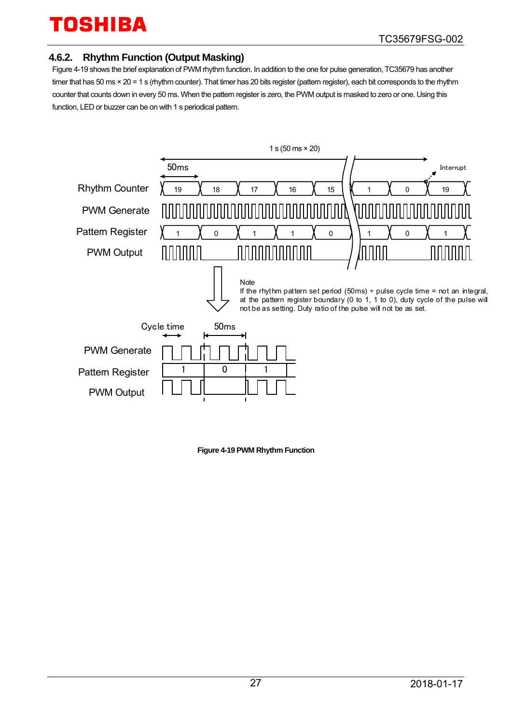### <span id="page-26-0"></span>**4.6.2. Rhythm Function (Output Masking)**

[Figure 4-19](#page-26-1) shows the brief explanation of PWM rhythm function. In addition to the one for pulse generation, TC35679 has another timer that has 50 ms × 20 = 1 s (rhythm counter). That timer has 20 bits register (pattern register), each bit corresponds to the rhythm counter that counts down in every 50 ms. When the pattern register is zero, the PWM output is masked to zero or one. Using this function, LED or buzzer can be on with 1 s periodical pattern.



<span id="page-26-1"></span>**Figure 4-19 PWM Rhythm Function**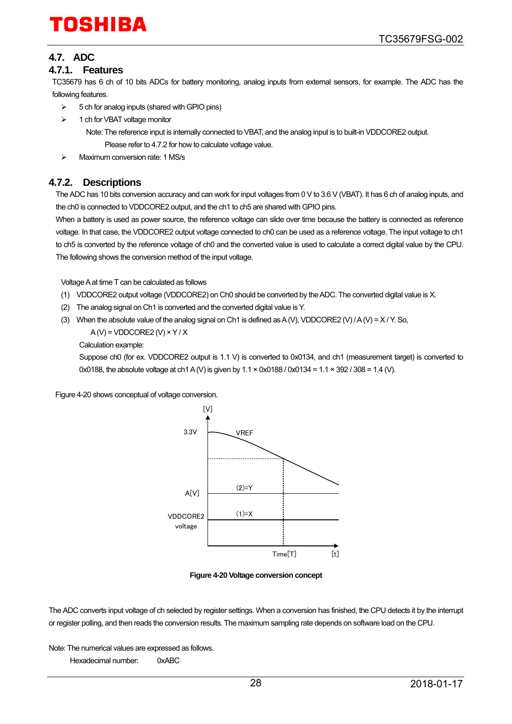# TOSHIRA

# <span id="page-27-0"></span>**4.7. ADC**

#### <span id="page-27-1"></span>**4.7.1. Features**

TC35679 has 6 ch of 10 bits ADCs for battery monitoring, analog inputs from external sensors, for example. The ADC has the following features.

- $\geq$  5 ch for analog inputs (shared with GPIO pins)
- $\geq$  1 ch for VBAT voltage monitor
	- Note: The reference input is internally connected to VBAT, and the analog input is to built-in VDDCORE2 output. Please refer t[o 4.7.2](#page-27-2) for how to calculate voltage value.
- A Maximum conversion rate: 1 MS/s

#### <span id="page-27-2"></span>**4.7.2. Descriptions**

The ADC has 10 bits conversion accuracy and can work for input voltages from 0 V to 3.6 V (VBAT). It has 6 ch of analog inputs, and the ch0 is connected to VDDCORE2 output, and the ch1 to ch5 are shared with GPIO pins.

When a battery is used as power source, the reference voltage can slide over time because the battery is connected as reference voltage. In that case, the VDDCORE2 output voltage connected to ch0 can be used as a reference voltage. The input voltage to ch1 to ch5 is converted by the reference voltage of ch0 and the converted value is used to calculate a correct digital value by the CPU. The following shows the conversion method of the input voltage.

Voltage A at time T can be calculated as follows

- (1) VDDCORE2 output voltage (VDDCORE2) on Ch0 should be converted by the ADC. The converted digital value is X.
- (2) The analog signal on Ch1 is converted and the converted digital value is Y.
- (3) When the absolute value of the analog signal on Ch1 is defined as A (V), VDDCORE2 (V) / A (V) =  $X$  / Y. So,

 $A(V) = VDDCORE2 (V) \times Y / X$ 

Calculation example:

Suppose ch0 (for ex. VDDCORE2 output is 1.1 V) is converted to 0x0134, and ch1 (measurement target) is converted to 0x0188, the absolute voltage at ch1 A (V) is given by 1.1 × 0x0188 / 0x0134 = 1.1 × 392 / 308 = 1.4 (V).

[Figure 4-20](#page-27-3) shows conceptual of voltage conversion.



**Figure 4-20 Voltage conversion concept**

<span id="page-27-3"></span>The ADC converts input voltage of ch selected by register settings. When a conversion has finished, the CPU detects it by the interrupt or register polling, and then reads the conversion results. The maximum sampling rate depends on software load on the CPU.

Note: The numerical values are expressed as follows.

Hexadecimal number: 0xABC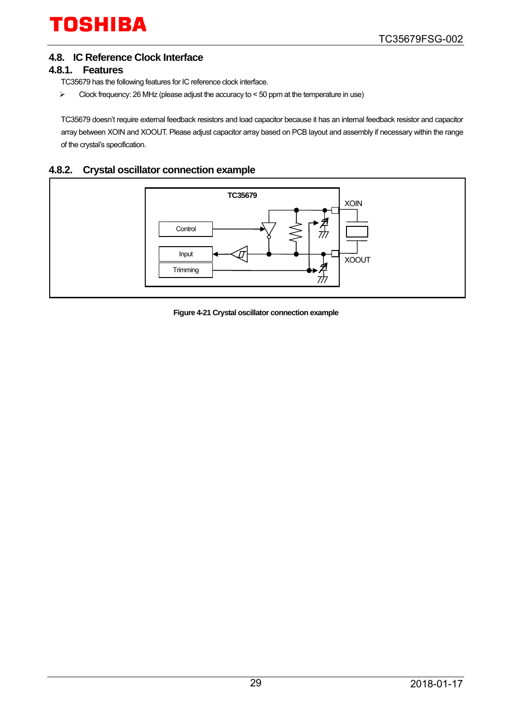# <span id="page-28-0"></span>**4.8. IC Reference Clock Interface**

#### <span id="page-28-1"></span>**4.8.1. Features**

TC35679 has the following features for IC reference clock interface.

 $\triangleright$  Clock frequency: 26 MHz (please adjust the accuracy to < 50 ppm at the temperature in use)

TC35679 doesn't require external feedback resistors and load capacitor because it has an internal feedback resistor and capacitor array between XOIN and XOOUT. Please adjust capacitor array based on PCB layout and assembly if necessary within the range of the crystal's specification.

### <span id="page-28-2"></span>**4.8.2. Crystal oscillator connection example**



**Figure 4-21 Crystal oscillator connection example**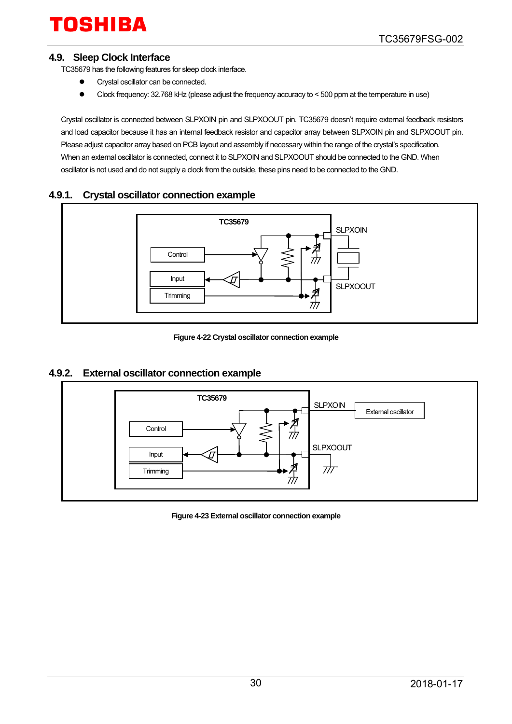### <span id="page-29-0"></span>**4.9. Sleep Clock Interface**

TC35679 has the following features for sleep clock interface.

- **•** Crystal oscillator can be connected.
- Clock frequency: 32.768 kHz (please adjust the frequency accuracy to < 500 ppm at the temperature in use)

Crystal oscillator is connected between SLPXOIN pin and SLPXOOUT pin. TC35679 doesn't require external feedback resistors and load capacitor because it has an internal feedback resistor and capacitor array between SLPXOIN pin and SLPXOOUT pin. Please adjust capacitor array based on PCB layout and assembly if necessary within the range of the crystal's specification. When an external oscillator is connected, connect it to SLPXOIN and SLPXOOUT should be connected to the GND. When oscillator is not used and do not supply a clock from the outside, these pins need to be connected to the GND.

### <span id="page-29-1"></span>**4.9.1. Crystal oscillator connection example**



**Figure 4-22 Crystal oscillator connection example**

#### <span id="page-29-2"></span>**4.9.2. External oscillator connection example**



**Figure 4-23 External oscillator connection example**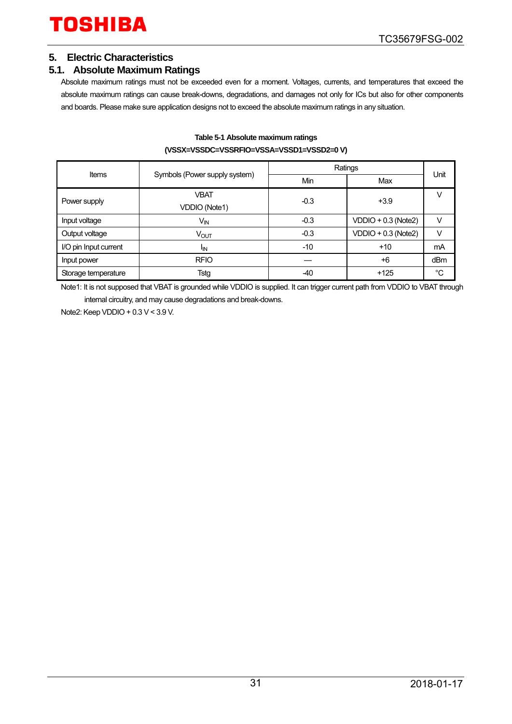### <span id="page-30-0"></span>**5. Electric Characteristics**

# <span id="page-30-1"></span>**5.1. Absolute Maximum Ratings**

Absolute maximum ratings must not be exceeded even for a moment. Voltages, currents, and temperatures that exceed the absolute maximum ratings can cause break-downs, degradations, and damages not only for ICs but also for other components and boards. Please make sure application designs not to exceed the absolute maximum ratings in any situation.

|                       |                               |        | Ratings               |      |  |  |  |  |  |
|-----------------------|-------------------------------|--------|-----------------------|------|--|--|--|--|--|
| Items                 | Symbols (Power supply system) | Min    | Max                   | Unit |  |  |  |  |  |
| Power supply          | <b>VBAT</b>                   | $-0.3$ | $+3.9$                | V    |  |  |  |  |  |
|                       | <b>VDDIO (Note1)</b>          |        |                       |      |  |  |  |  |  |
| Input voltage         | $V_{\text{IN}}$               | $-0.3$ | $VDDIO + 0.3 (Note2)$ | V    |  |  |  |  |  |
| Output voltage        | VOUT                          | $-0.3$ | $VDDIO + 0.3 (Note2)$ | V    |  |  |  |  |  |
| I/O pin Input current | <sup>I</sup> IN               | -10    | $+10$                 | mA   |  |  |  |  |  |
| Input power           | <b>RFIO</b>                   |        | $+6$                  | dBm  |  |  |  |  |  |
| Storage temperature   | Tstg                          | -40    | $+125$                | °C   |  |  |  |  |  |

#### **Table 5-1 Absolute maximum ratings (VSSX=VSSDC=VSSRFIO=VSSA=VSSD1=VSSD2=0 V)**

Note1: It is not supposed that VBAT is grounded while VDDIO is supplied. It can trigger current path from VDDIO to VBAT through internal circuitry, and may cause degradations and break-downs.

Note2: Keep VDDIO + 0.3 V < 3.9 V.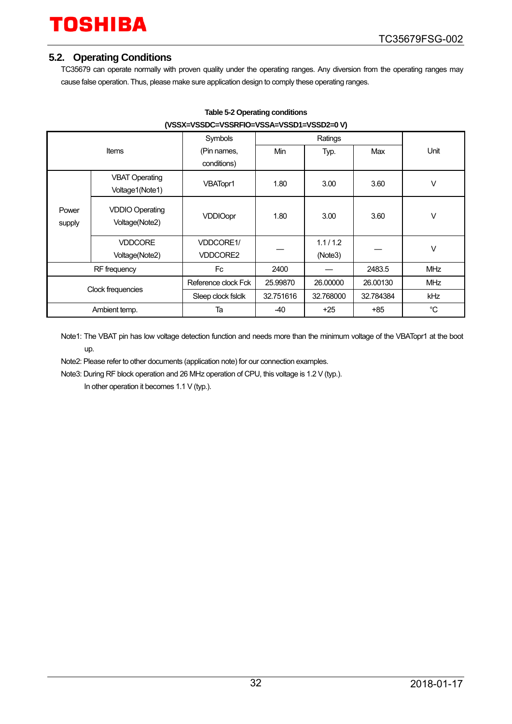### <span id="page-31-0"></span>**5.2. Operating Conditions**

TC35679 can operate normally with proven quality under the operating ranges. Any diversion from the operating ranges may cause false operation. Thus, please make sure application design to comply these operating ranges.

| (VSSX=VSSDC=VSSRFIC=VSSA=VSSDT=VSSDZ=U V) |                                          |                     |           |           |           |            |  |  |  |
|-------------------------------------------|------------------------------------------|---------------------|-----------|-----------|-----------|------------|--|--|--|
|                                           |                                          | Symbols             |           |           |           |            |  |  |  |
|                                           | Items                                    | (Pin names,         | Min       | Typ.      | Max       | Unit       |  |  |  |
|                                           |                                          | conditions)         |           |           |           |            |  |  |  |
|                                           | <b>VBAT Operating</b>                    |                     |           |           |           | $\vee$     |  |  |  |
|                                           | Voltage1(Note1)                          | VBATopr1            | 1.80      | 3.00      | 3.60      |            |  |  |  |
| Power<br>supply                           | <b>VDDIO Operating</b><br>Voltage(Note2) | <b>VDDIOopr</b>     | 1.80      | 3.00      | 3.60      | V          |  |  |  |
|                                           | <b>VDDCORE</b>                           | <b>VDDCORE1/</b>    |           | 1.1/1.2   |           |            |  |  |  |
|                                           | Voltage(Note2)                           | <b>VDDCORE2</b>     |           | (Note3)   |           | $\vee$     |  |  |  |
| RF frequency                              |                                          | Fc.                 | 2400      |           | 2483.5    | <b>MHz</b> |  |  |  |
| Clock frequencies                         |                                          | Reference clock Fck | 25.99870  | 26.00000  | 26.00130  | <b>MHz</b> |  |  |  |
|                                           |                                          | Sleep clock fslclk  | 32.751616 | 32.768000 | 32.784384 | kHz        |  |  |  |
|                                           | Ambient temp.                            | Ta                  | -40       | $+25$     | +85       | °C         |  |  |  |

#### **Table 5-2 Operating conditions (VSSX=VSSDC=VSSRFIO=VSSA=VSSD1=VSSD2=0 V)**

Note1: The VBAT pin has low voltage detection function and needs more than the minimum voltage of the VBATopr1 at the boot up.

Note2: Please refer to other documents (application note) for our connection examples.

Note3: During RF block operation and 26 MHz operation of CPU, this voltage is 1.2 V (typ.).

In other operation it becomes 1.1 V (typ.).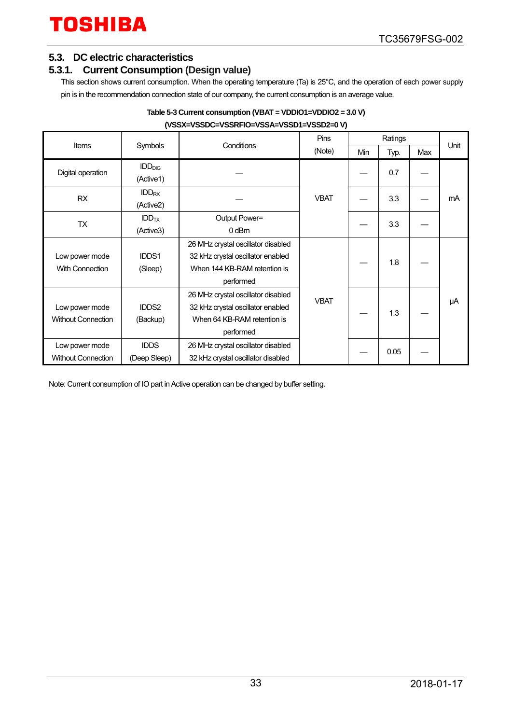### <span id="page-32-0"></span>**5.3. DC electric characteristics**

### <span id="page-32-1"></span>**5.3.1. Current Consumption (Design value)**

This section shows current consumption. When the operating temperature (Ta) is 25°C, and the operation of each power supply pin is in the recommendation connection state of our company, the current consumption is an average value.

| Table 5-3 Current consumption (VBAT = VDDIO1=VDDIO2 = 3.0 V) |  |
|--------------------------------------------------------------|--|
| (VSSX=VSSDC=VSSRFIO=VSSA=VSSD1=VSSD2=0 V)                    |  |

|                           |                         |                                    |             | <b>Pins</b> |      |     |      |
|---------------------------|-------------------------|------------------------------------|-------------|-------------|------|-----|------|
| <b>Items</b>              | Symbols                 | Conditions                         | (Note)      | Min         | Typ. | Max | Unit |
|                           | IDD <sub>DIG</sub>      |                                    |             |             |      |     |      |
| Digital operation         | (Active1)               |                                    |             |             | 0.7  |     |      |
| <b>RX</b>                 | IDD <sub>RX</sub>       |                                    | <b>VBAT</b> |             | 3.3  |     | mA   |
|                           | (Active2)               |                                    |             |             |      |     |      |
| <b>TX</b>                 | <b>IDD<sub>TX</sub></b> | Output Power=                      |             |             | 3.3  |     |      |
|                           | (Active3)               | $0$ dBm                            |             |             |      |     |      |
|                           |                         | 26 MHz crystal oscillator disabled |             |             |      |     |      |
| Low power mode            | IDDS1                   | 32 kHz crystal oscillator enabled  |             |             | 1.8  |     |      |
| <b>With Connection</b>    | (Sleep)                 | When 144 KB-RAM retention is       |             |             |      |     |      |
|                           |                         | performed                          |             |             |      |     |      |
|                           |                         | 26 MHz crystal oscillator disabled | <b>VBAT</b> |             |      |     |      |
| Low power mode            | <b>IDDS2</b>            | 32 kHz crystal oscillator enabled  |             |             | 1.3  |     | μA   |
| <b>Without Connection</b> | (Backup)                | When 64 KB-RAM retention is        |             |             |      |     |      |
|                           |                         | performed                          |             |             |      |     |      |
| Low power mode            | <b>IDDS</b>             | 26 MHz crystal oscillator disabled |             |             |      |     |      |
| <b>Without Connection</b> | (Deep Sleep)            | 32 kHz crystal oscillator disabled |             |             | 0.05 |     |      |

Note: Current consumption of IO part in Active operation can be changed by buffer setting.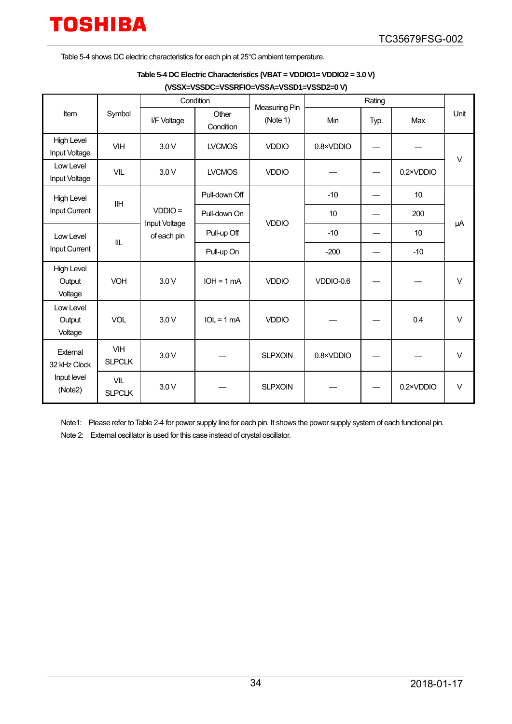<span id="page-33-0"></span>[Table 5-4](#page-33-0) shows DC electric characteristics for each pin at 25°C ambient temperature.

#### **(VSSX=VSSDC=VSSRFIO=VSSA=VSSD1=VSSD2=0 V)**

|                                          |                             | Condition                    |                    | Measuring Pin  |           |      |           |        |
|------------------------------------------|-----------------------------|------------------------------|--------------------|----------------|-----------|------|-----------|--------|
| Symbol<br>Item                           |                             | I/F Voltage                  | Other<br>Condition | (Note 1)       | Min       | Typ. | Max       | Unit   |
| <b>High Level</b><br>Input Voltage       | <b>VIH</b>                  | 3.0V                         | <b>LVCMOS</b>      | <b>VDDIO</b>   | 0.8×VDDIO |      |           | $\vee$ |
| Low Level<br>Input Voltage               | <b>VIL</b>                  | 3.0V                         | <b>LVCMOS</b>      | <b>VDDIO</b>   |           |      | 0.2×VDDIO |        |
| <b>High Level</b>                        | <b>IIH</b>                  |                              | Pull-down Off      |                | $-10$     |      | 10        |        |
| Input Current                            |                             | $VDDIO =$                    | Pull-down On       | <b>VDDIO</b>   | 10        |      | 200       | μA     |
| Low Level<br>IIL<br><b>Input Current</b> |                             | Input Voltage<br>of each pin | Pull-up Off        |                | $-10$     |      | 10        |        |
|                                          |                             |                              | Pull-up On         |                | $-200$    |      | $-10$     |        |
| <b>High Level</b><br>Output<br>Voltage   | <b>VOH</b>                  | 3.0V                         | $IOH = 1 mA$       | <b>VDDIO</b>   | VDDIO-0.6 |      |           | $\vee$ |
| Low Level<br>Output<br>Voltage           | <b>VOL</b>                  | 3.0V                         | $IOL = 1 mA$       | <b>VDDIO</b>   |           |      | 0.4       | $\vee$ |
| External<br>32 kHz Clock                 | <b>VIH</b><br><b>SLPCLK</b> | 3.0V                         |                    | <b>SLPXOIN</b> | 0.8×VDDIO |      |           | $\vee$ |
| Input level<br>(Note2)                   | <b>VIL</b><br><b>SLPCLK</b> | 3.0V                         |                    | <b>SLPXOIN</b> |           |      | 0.2×VDDIO | $\vee$ |

Note1: Please refer t[o Table 2-4 f](#page-10-1)or power supply line for each pin. It shows the power supply system of each functional pin.

Note 2: External oscillator is used for this case instead of crystal oscillator.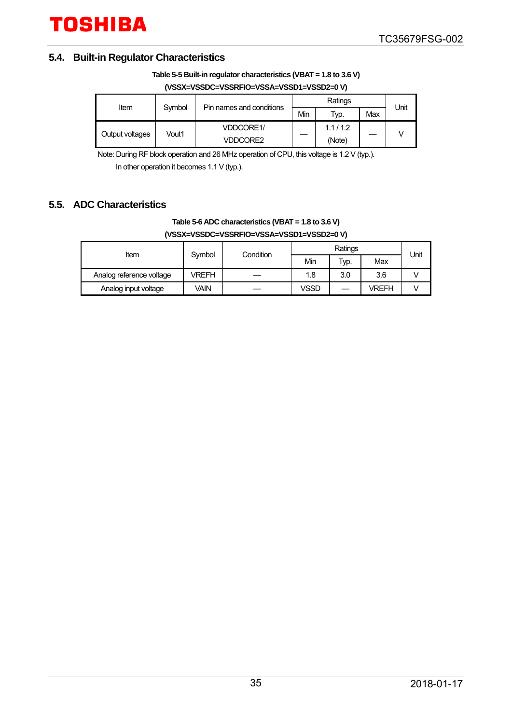### <span id="page-34-0"></span>**5.4. Built-in Regulator Characteristics**

**(VSSX=VSSDC=VSSRFIO=VSSA=VSSD1=VSSD2=0 V)**

| Item            | Symbol | Pin names and conditions |     | Unit    |     |  |
|-----------------|--------|--------------------------|-----|---------|-----|--|
|                 |        |                          | Min | Typ.    | Max |  |
| Output voltages | Vout1  | <b>VDDCORE1/</b>         |     | 1.1/1.2 |     |  |
|                 |        | <b>VDDCORE2</b>          |     | (Note)  |     |  |

Note: During RF block operation and 26 MHz operation of CPU, this voltage is 1.2 V (typ.).

In other operation it becomes 1.1 V (typ.).

### <span id="page-34-1"></span>**5.5. ADC Characteristics**

#### **Table 5-6 ADC characteristics (VBAT = 1.8 to 3.6 V) (VSSX=VSSDC=VSSRFIO=VSSA=VSSD1=VSSD2=0 V)**

| Item                     | Symbol | Condition |             | Unit |       |  |
|--------------------------|--------|-----------|-------------|------|-------|--|
|                          |        |           | Min         | Typ. | Max   |  |
| Analog reference voltage | VREFH  |           | 1.8         | 3.0  | 3.6   |  |
| Analog input voltage     | Vain   |           | <b>VSSD</b> |      | VREFH |  |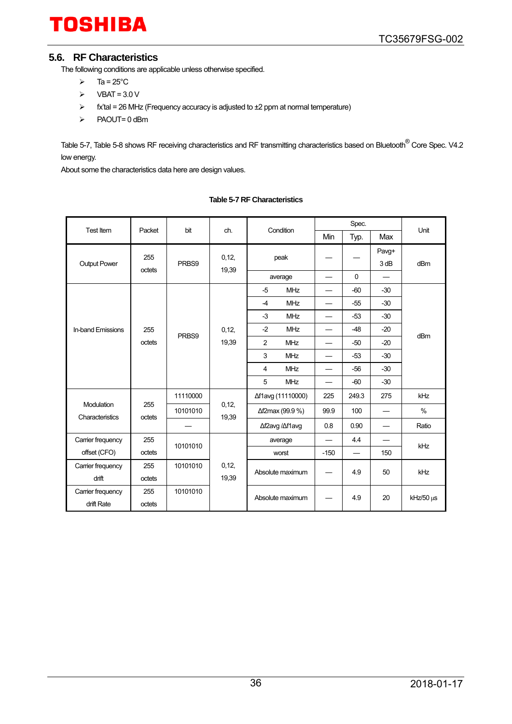### <span id="page-35-0"></span>**5.6. RF Characteristics**

The following conditions are applicable unless otherwise specified.

- $\triangleright$  Ta = 25°C
- $\triangleright$  VBAT = 3.0 V
- $\triangleright$  fx'tal = 26 MHz (Frequency accuracy is adjusted to  $\pm 2$  ppm at normal temperature)
- $\triangleright$  PAOUT= 0 dBm

[Table 5-7,](#page-35-1) [Table 5-8](#page-36-0) shows RF receiving characteristics and RF transmitting characteristics based on Bluetooth<sup>®</sup> Core Spec. V4.2 low energy.

<span id="page-35-1"></span>About some the characteristics data here are design values.

| Test Item                            | Packet<br>bit |          | ch.            |                  | Condition         |                          | Spec.                    |               |                 |
|--------------------------------------|---------------|----------|----------------|------------------|-------------------|--------------------------|--------------------------|---------------|-----------------|
|                                      |               |          |                |                  |                   | Min                      | Typ.                     | Max           | Unit            |
|                                      | 255           |          | 0,12,<br>19,39 | peak             |                   |                          |                          | Pavg+<br>3 dB | dB <sub>m</sub> |
| Output Power                         | octets        | PRBS9    |                |                  | average           | $\overline{\phantom{0}}$ | 0                        |               |                 |
|                                      |               |          |                | $-5$             | <b>MHz</b>        |                          | $-60$                    | $-30$         |                 |
|                                      |               |          |                | $-4$             | <b>MHz</b>        |                          | $-55$                    | $-30$         |                 |
|                                      |               |          |                | $-3$             | <b>MHz</b>        | $\overline{\phantom{0}}$ | $-53$                    | $-30$         |                 |
| <b>In-band Emissions</b>             | 255           | PRBS9    | 0,12,<br>19,39 | $-2$             | <b>MHz</b>        |                          | $-48$                    | $-20$         | dBm             |
|                                      | octets        |          |                | 2                | <b>MHz</b>        | $\overline{\phantom{0}}$ | $-50$                    | $-20$         |                 |
|                                      |               |          |                | 3                | <b>MHz</b>        | $\overline{\phantom{0}}$ | $-53$                    | $-30$         |                 |
|                                      |               |          |                | $\overline{4}$   | <b>MHz</b>        | $\overline{\phantom{0}}$ | $-56$                    | $-30$         |                 |
|                                      |               |          |                | 5                | <b>MHz</b>        |                          | $-60$                    | $-30$         |                 |
|                                      |               | 11110000 | 0,12,<br>19,39 |                  | Δf1avg (11110000) | 225                      | 249.3                    | 275           | kHz             |
| <b>Modulation</b><br>Characteristics | 255<br>octets | 10101010 |                |                  | Δf2max (99.9 %)   | 99.9                     | 100                      |               | $\%$            |
|                                      |               |          |                |                  | ∆f2avg /∆f1avg    | 0.8                      | 0.90                     |               | Ratio           |
| Carrier frequency                    | 255           | 10101010 |                |                  | average           | $\overline{\phantom{0}}$ | 4.4                      |               | kHz             |
| offset (CFO)                         | octets        |          |                |                  | worst             | $-150$                   | $\overline{\phantom{0}}$ | 150           |                 |
| Carrier frequency                    | 255           | 10101010 | 0, 12,         |                  | Absolute maximum  |                          | 4.9                      | 50            | kHz             |
| drift                                | octets        |          | 19,39          |                  |                   |                          |                          |               |                 |
| Carrier frequency                    | 255           | 10101010 |                | Absolute maximum |                   |                          | 4.9                      | 20            | $kHz/50 \mu s$  |
| drift Rate                           | octets        |          |                |                  |                   |                          |                          |               |                 |

#### **Table 5-7 RF Characteristics**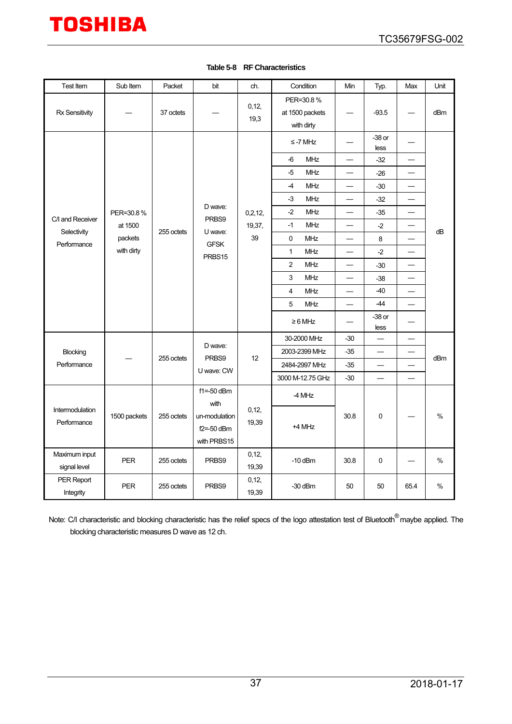<span id="page-36-0"></span>

| Test Item                      | Sub Item                   | Packet                                         | bit                            | ch.             | Condition                                  | Min                      | Typ.                     | Max                      | Unit |
|--------------------------------|----------------------------|------------------------------------------------|--------------------------------|-----------------|--------------------------------------------|--------------------------|--------------------------|--------------------------|------|
| Rx Sensitivity                 |                            | 37 octets                                      |                                | 0, 12,<br>19,3  | PER=30.8%<br>at 1500 packets<br>with dirty |                          | $-93.5$                  |                          | dBm  |
|                                |                            |                                                |                                |                 | $\le$ -7 MHz                               |                          | $-38$ or<br>less         |                          |      |
|                                |                            |                                                |                                |                 | <b>MHz</b><br>-6                           |                          | $-32$                    |                          |      |
|                                |                            |                                                |                                |                 | -5<br><b>MHz</b>                           |                          | $-26$                    |                          |      |
|                                |                            |                                                |                                |                 | <b>MHz</b><br>$-4$                         |                          | $-30$                    | $\overline{\phantom{0}}$ |      |
|                                |                            |                                                |                                |                 | -3<br><b>MHz</b>                           |                          | $-32$                    |                          |      |
|                                | PER=30.8%                  |                                                | D wave:                        | 0,2,12,         | $-2$<br><b>MHz</b>                         |                          | $-35$                    |                          |      |
| C/I and Receiver               | at 1500                    | 255 octets                                     | PRBS9<br>U wave:               | 19,37,          | MHz<br>$-1$                                | $\overline{\phantom{0}}$ | $-2$                     |                          | dB   |
| Selectivity<br>Performance     | packets                    |                                                | <b>GFSK</b>                    | 39              | $\pmb{0}$<br><b>MHz</b>                    |                          | 8                        |                          |      |
|                                | with dirty                 |                                                | PRBS15                         |                 | 1<br><b>MHz</b>                            | $\overline{\phantom{0}}$ | $-2$                     |                          |      |
|                                |                            |                                                |                                |                 | $\overline{2}$<br><b>MHz</b>               | $\overline{\phantom{0}}$ | $-30$                    | $\overline{\phantom{0}}$ |      |
|                                |                            |                                                |                                |                 | 3<br><b>MHz</b>                            |                          | $-38$                    |                          |      |
|                                |                            |                                                |                                |                 | 4<br><b>MHz</b>                            | $\overline{\phantom{0}}$ | $-40$                    | $\overline{\phantom{0}}$ |      |
|                                |                            |                                                |                                |                 | 5<br><b>MHz</b>                            |                          | -44                      |                          |      |
|                                |                            |                                                |                                |                 | $\geq 6$ MHz                               |                          | $-38$ or<br>less         |                          |      |
|                                |                            | 255 octets                                     | D wave:<br>PRBS9<br>U wave: CW | 12              | 30-2000 MHz                                | $-30$                    | $\overline{\phantom{0}}$ |                          |      |
| Blocking                       |                            |                                                |                                |                 | 2003-2399 MHz                              | $-35$                    |                          |                          | dBm  |
| Performance                    |                            |                                                |                                |                 | 2484-2997 MHz                              | $-35$                    |                          |                          |      |
|                                |                            |                                                |                                |                 | 3000 M-12.75 GHz                           | $-30$                    | $\overline{\phantom{0}}$ | $\overline{\phantom{0}}$ |      |
|                                | 1500 packets<br>255 octets |                                                | $f1 = -50$ dBm<br>with         |                 | -4 MHz                                     |                          |                          |                          |      |
| Intermodulation<br>Performance |                            | un-modulation<br>$f2 = -50$ dBm<br>with PRBS15 | 0, 12,<br>19,39                | +4 MHz          | 30.8                                       | 0                        |                          | $\%$                     |      |
| Maximum input<br>signal level  | <b>PER</b>                 | 255 octets                                     | PRBS9                          | 0, 12,<br>19,39 | $-10$ dBm                                  | 30.8                     | 0                        |                          | %    |
| PER Report<br>Integrity        | <b>PER</b>                 | 255 octets                                     | PRBS9                          | 0, 12,<br>19,39 | $-30$ dBm                                  | 50                       | 50                       | 65.4                     | $\%$ |

#### **Table 5-8 RF Characteristics**

Note: C/I characteristic and blocking characteristic has the relief specs of the logo attestation test of Bluetooth<sup>®</sup>maybe applied. The blocking characteristic measures D wave as 12 ch.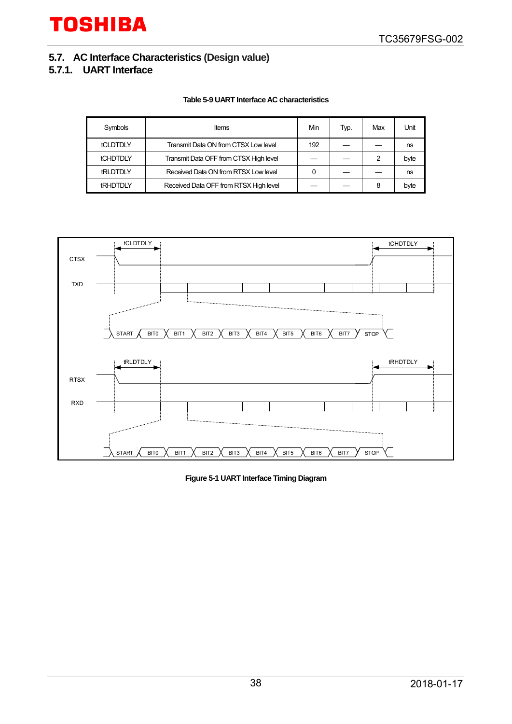### <span id="page-37-0"></span>**5.7. AC Interface Characteristics (Design value)**

#### <span id="page-37-1"></span>**5.7.1. UART Interface**

#### **Table 5-9 UART Interface AC characteristics**

| Symbols         | Items                                  | Min | Typ. | Max | Jnit |
|-----------------|----------------------------------------|-----|------|-----|------|
| <b>tCLDTDLY</b> | Transmit Data ON from CTSX Low level   | 192 |      |     | ns   |
| <b>tCHDTDLY</b> | Transmit Data OFF from CTSX High level |     |      | 2   | byte |
| <b>tRLDTDLY</b> | Received Data ON from RTSX Low level   |     |      |     | ns   |
| <b>tRHDTDLY</b> | Received Data OFF from RTSX High level |     |      | 8   | byte |



**Figure 5-1 UART Interface Timing Diagram**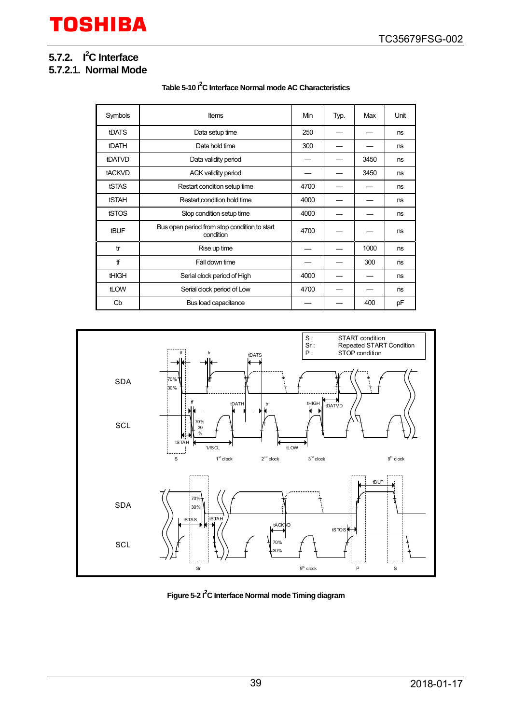# <span id="page-38-0"></span>**5.7.2.** I<sup>2</sup>C Interface

# <span id="page-38-1"></span>**5.7.2.1. Normal Mode**

#### **Table 5-10 I2 C Interface Normal mode AC Characteristics**

| Symbols      | <b>Items</b>                                              | Min  | Typ. | Max  | Unit |
|--------------|-----------------------------------------------------------|------|------|------|------|
| tDATS        | Data setup time                                           | 250  |      |      | ns   |
| <b>tDATH</b> | Data hold time                                            | 300  |      |      | ns   |
| tDATVD       | Data validity period                                      |      |      | 3450 | ns   |
| tACKVD       | ACK validity period                                       |      |      | 3450 | ns   |
| tSTAS        | Restart condition setup time                              | 4700 |      |      | ns   |
| <b>tSTAH</b> | Restart condition hold time                               | 4000 |      |      | ns   |
| tSTOS        | Stop condition setup time                                 | 4000 |      |      | ns   |
| <b>tBUF</b>  | Bus open period from stop condition to start<br>condition | 4700 |      |      | ns   |
| tr           | Rise up time                                              |      |      | 1000 | ns   |
| ff           | Fall down time                                            |      |      | 300  | ns   |
| <b>tHIGH</b> | Serial clock period of High                               | 4000 |      |      | ns   |
| tLOW         | Serial clock period of Low                                | 4700 |      |      | ns   |
| Cb           | Bus load capacitance                                      |      |      | 400  | pF   |



**Figure 5-2 I2 C Interface Normal mode Timing diagram**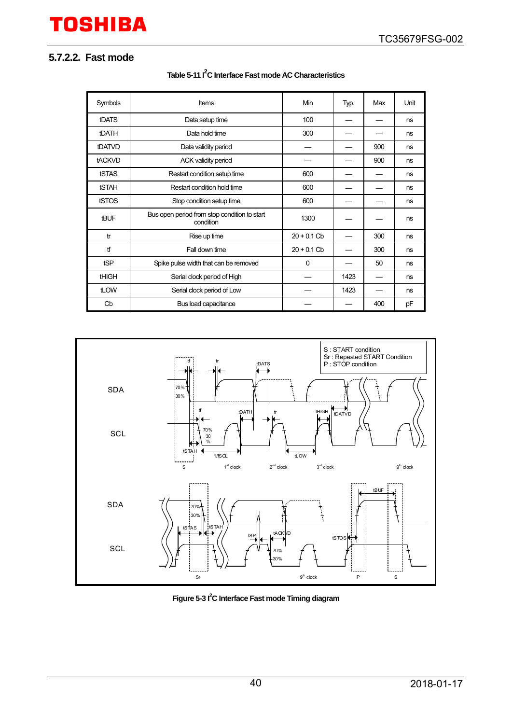### <span id="page-39-0"></span>**5.7.2.2. Fast mode**

| Symbols       | <b>Items</b>                                              | Min           | Typ. | Max | Unit |
|---------------|-----------------------------------------------------------|---------------|------|-----|------|
| <b>tDATS</b>  | Data setup time                                           | 100           |      |     | ns   |
| <b>tDATH</b>  | Data hold time                                            | 300           |      |     | ns   |
| <b>tDATVD</b> | Data validity period                                      |               |      | 900 | ns   |
| tACKVD        | <b>ACK validity period</b>                                |               |      | 900 | ns   |
| <b>tSTAS</b>  | Restart condition setup time                              | 600           |      |     | ns   |
| <b>tSTAH</b>  | Restart condition hold time                               | 600           |      |     | ns   |
| tSTOS         | Stop condition setup time                                 | 600           |      |     | ns   |
| tBUF          | Bus open period from stop condition to start<br>condition | 1300          |      |     | ns   |
| tr            | Rise up time                                              | $20 + 0.1$ Cb |      | 300 | ns   |
| tf            | Fall down time                                            | $20 + 0.1$ Cb |      | 300 | ns   |
| tSP           | Spike pulse width that can be removed                     | 0             |      | 50  | ns   |
| <b>tHIGH</b>  | Serial clock period of High                               |               | 1423 |     | ns   |
| tLOW          | Serial clock period of Low                                |               | 1423 |     | ns   |
| Cb            | Bus load capacitance                                      |               |      | 400 | pF   |

**Table 5-11 I2 C Interface Fast mode AC Characteristics**



**Figure 5-3 I2 C Interface Fast mode Timing diagram**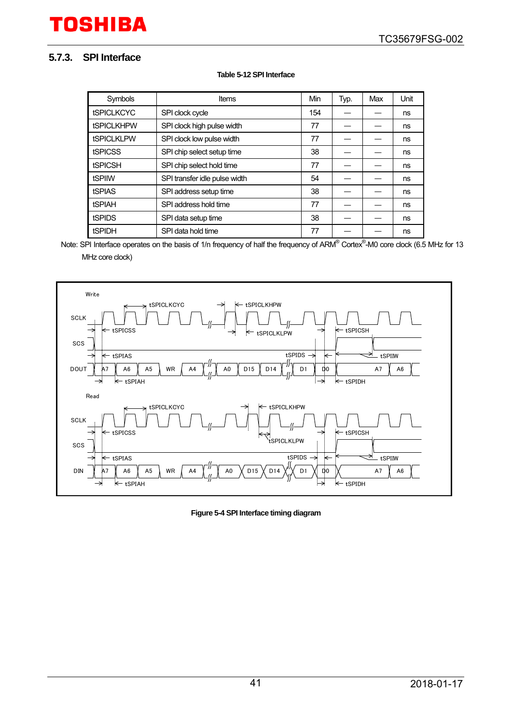### <span id="page-40-0"></span>**5.7.3. SPI Interface**

#### **Table 5-12 SPI Interface**

| Symbols           | Items                         | Min | Typ. | Max | Unit |
|-------------------|-------------------------------|-----|------|-----|------|
| <b>tSPICLKCYC</b> | SPI clock cycle               | 154 |      |     | ns   |
| <b>tSPICLKHPW</b> | SPI clock high pulse width    | 77  |      |     | ns   |
| <b>tSPICLKLPW</b> | SPI clock low pulse width     | 77  |      |     | ns   |
| <b>tSPICSS</b>    | SPI chip select setup time    | 38  |      |     | ns   |
| <b>tSPICSH</b>    | SPI chip select hold time     | 77  |      |     | ns   |
| tSPIIW            | SPI transfer idle pulse width | 54  |      |     | ns   |
| <b>tSPIAS</b>     | SPI address setup time        | 38  |      |     | ns   |
| <b>tSPIAH</b>     | SPI address hold time         | 77  |      |     | ns   |
| <b>tSPIDS</b>     | SPI data setup time           | 38  |      |     | ns   |
| tSPIDH            | SPI data hold time            | 77  |      |     | ns   |

Note: SPI Interface operates on the basis of 1/n frequency of half the frequency of ARM® Cortex®-M0 core clock (6.5 MHz for 13 MHz core clock)



**Figure 5-4 SPI Interface timing diagram**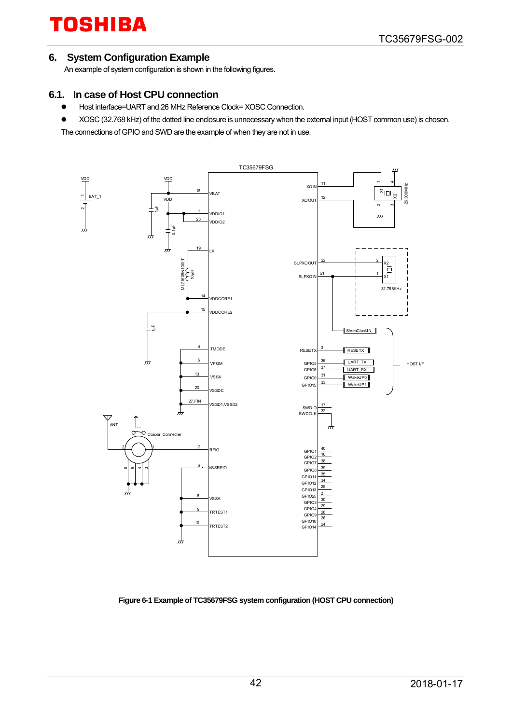#### <span id="page-41-0"></span>**6. System Configuration Example**

An example of system configuration is shown in the following figures.

#### <span id="page-41-1"></span>**6.1. In case of Host CPU connection**

- Host interface=UART and 26 MHz Reference Clock= XOSC Connection.
- XOSC (32.768 kHz) of the dotted line enclosure is unnecessary when the external input (HOST common use) is chosen.

The connections of GPIO and SWD are the example of when they are not in use.



#### **Figure 6-1 Example of TC35679FSG system configuration (HOST CPU connection)**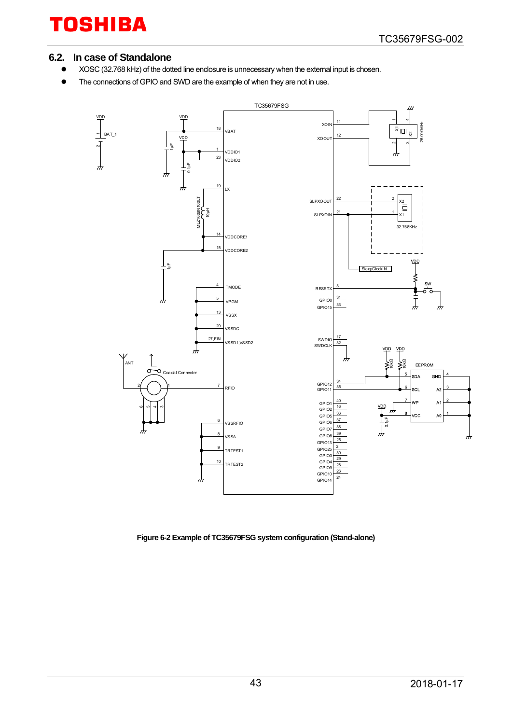### <span id="page-42-0"></span>**6.2. In case of Standalone**

- XOSC (32.768 kHz) of the dotted line enclosure is unnecessary when the external input is chosen.
- The connections of GPIO and SWD are the example of when they are not in use.



**Figure 6-2 Example of TC35679FSG system configuration (Stand-alone)**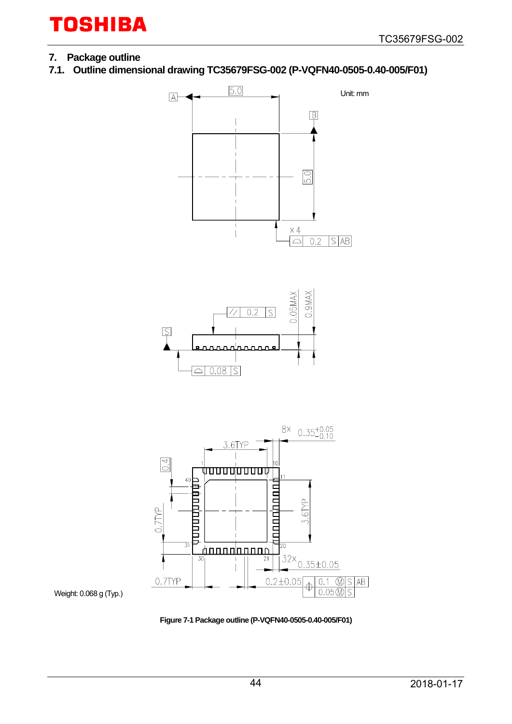#### <span id="page-43-0"></span>**7. Package outline**

Weight: 0.068 g (Typ.)

<span id="page-43-1"></span>**7.1. Outline dimensional drawing TC35679FSG-002 (P-VQFN40-0505-0.40-005/F01)**



**Figure 7-1 Package outline (P-VQFN40-0505-0.40-005/F01)**